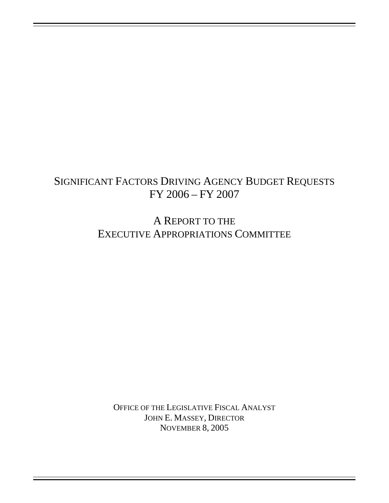# SIGNIFICANT FACTORS DRIVING AGENCY BUDGET REQUESTS FY 2006 – FY 2007

A REPORT TO THE EXECUTIVE APPROPRIATIONS COMMITTEE

OFFICE OF THE LEGISLATIVE FISCAL ANALYST JOHN E. MASSEY, DIRECTOR NOVEMBER 8, 2005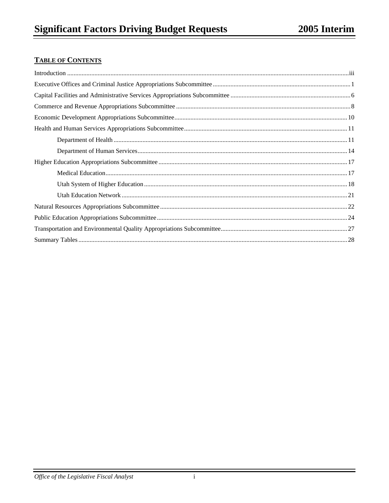## **TABLE OF CONTENTS**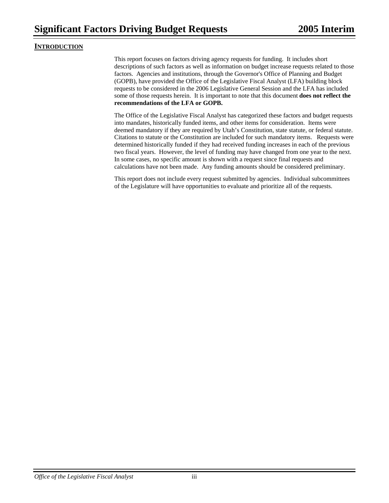#### **INTRODUCTION**

This report focuses on factors driving agency requests for funding. It includes short descriptions of such factors as well as information on budget increase requests related to those factors. Agencies and institutions, through the Governor's Office of Planning and Budget (GOPB), have provided the Office of the Legislative Fiscal Analyst (LFA) building block requests to be considered in the 2006 Legislative General Session and the LFA has included some of those requests herein. It is important to note that this document **does not reflect the recommendations of the LFA or GOPB.**

The Office of the Legislative Fiscal Analyst has categorized these factors and budget requests into mandates, historically funded items, and other items for consideration. Items were deemed mandatory if they are required by Utah's Constitution, state statute, or federal statute. Citations to statute or the Constitution are included for such mandatory items. Requests were determined historically funded if they had received funding increases in each of the previous two fiscal years. However, the level of funding may have changed from one year to the next. In some cases, no specific amount is shown with a request since final requests and calculations have not been made. Any funding amounts should be considered preliminary.

This report does not include every request submitted by agencies. Individual subcommittees of the Legislature will have opportunities to evaluate and prioritize all of the requests.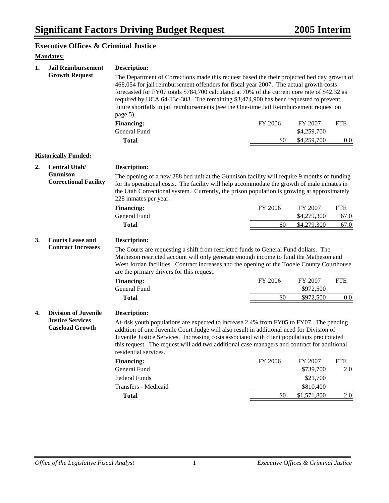#### **Executive Offices & Criminal Justice**

## **Mandates:**

| 1. | <b>Jail Reimbursement</b>                                                        | <b>Description:</b>                                                                                                                                                                                                                                                                                                                                                                                                                                                                   |         |                        |            |  |
|----|----------------------------------------------------------------------------------|---------------------------------------------------------------------------------------------------------------------------------------------------------------------------------------------------------------------------------------------------------------------------------------------------------------------------------------------------------------------------------------------------------------------------------------------------------------------------------------|---------|------------------------|------------|--|
|    | <b>Growth Request</b>                                                            | The Department of Corrections made this request based the their projected bed day growth of<br>468,054 for jail reimbursement offenders for fiscal year 2007. The actual growth costs<br>forecasted for FY07 totals \$784,700 calculated at 70% of the current core rate of \$42.32 as<br>required by UCA 64-13c-303. The remaining \$3,474,900 has been requested to prevent<br>future shortfalls in jail reimbursements (see the One-time Jail Reimbursement request on<br>page 5). |         |                        |            |  |
|    |                                                                                  | <b>Financing:</b><br><b>General Fund</b>                                                                                                                                                                                                                                                                                                                                                                                                                                              | FY 2006 | FY 2007<br>\$4,259,700 | <b>FTE</b> |  |
|    |                                                                                  | <b>Total</b>                                                                                                                                                                                                                                                                                                                                                                                                                                                                          | \$0     | \$4,259,700            | 0.0        |  |
|    | <b>Historically Funded:</b>                                                      |                                                                                                                                                                                                                                                                                                                                                                                                                                                                                       |         |                        |            |  |
| 2. | <b>Central Utah/</b>                                                             | <b>Description:</b>                                                                                                                                                                                                                                                                                                                                                                                                                                                                   |         |                        |            |  |
|    | <b>Gunnison</b><br><b>Correctional Facility</b>                                  | The opening of a new 288 bed unit at the Gunnison facility will require 9 months of funding<br>for its operational costs. The facility will help accommodate the growth of male inmates in<br>the Utah Correctional system. Currently, the prison population is growing at approximately<br>228 inmates per year.                                                                                                                                                                     |         |                        |            |  |
|    |                                                                                  | <b>Financing:</b>                                                                                                                                                                                                                                                                                                                                                                                                                                                                     | FY 2006 | FY 2007                | <b>FTE</b> |  |
|    |                                                                                  | General Fund                                                                                                                                                                                                                                                                                                                                                                                                                                                                          |         | \$4,279,300            | 67.0       |  |
|    |                                                                                  | <b>Total</b>                                                                                                                                                                                                                                                                                                                                                                                                                                                                          | \$0     | \$4,279,300            | 67.0       |  |
| 3. | <b>Courts Lease and</b><br><b>Contract Increases</b>                             | Description:<br>The Courts are requesting a shift from restricted funds to General Fund dollars. The<br>Matheson restricted account will only generate enough income to fund the Matheson and<br>West Jordan facilities. Contract increases and the opening of the Tooele County Courthouse                                                                                                                                                                                           |         |                        |            |  |
|    |                                                                                  | are the primary drivers for this request.                                                                                                                                                                                                                                                                                                                                                                                                                                             | FY 2006 |                        |            |  |
|    |                                                                                  | <b>Financing:</b><br>General Fund                                                                                                                                                                                                                                                                                                                                                                                                                                                     |         | FY 2007<br>\$972,500   | <b>FTE</b> |  |
|    |                                                                                  | <b>Total</b>                                                                                                                                                                                                                                                                                                                                                                                                                                                                          | \$0     | \$972,500              | 0.0        |  |
| 4. | <b>Division of Juvenile</b><br><b>Justice Services</b><br><b>Caseload Growth</b> | Description:<br>At-risk youth populations are expected to increase 2.4% from FY05 to FY07. The pending<br>addition of one Juvenile Court Judge will also result in additional need for Division of<br>Juvenile Justice Services. Increasing costs associated with client populations precipitated<br>this request. The request will add two additional case managers and contract for additional<br>residential services.                                                             |         |                        |            |  |
|    |                                                                                  | <b>Financing:</b>                                                                                                                                                                                                                                                                                                                                                                                                                                                                     | FY 2006 | FY 2007                | <b>FTE</b> |  |
|    |                                                                                  | General Fund                                                                                                                                                                                                                                                                                                                                                                                                                                                                          |         | \$739,700              | 2.0        |  |
|    |                                                                                  | <b>Federal Funds</b>                                                                                                                                                                                                                                                                                                                                                                                                                                                                  |         | \$21,700               |            |  |
|    |                                                                                  | Transfers - Medicaid                                                                                                                                                                                                                                                                                                                                                                                                                                                                  |         | \$810,400              |            |  |
|    |                                                                                  | <b>Total</b>                                                                                                                                                                                                                                                                                                                                                                                                                                                                          | \$0     | \$1,571,800            | 2.0        |  |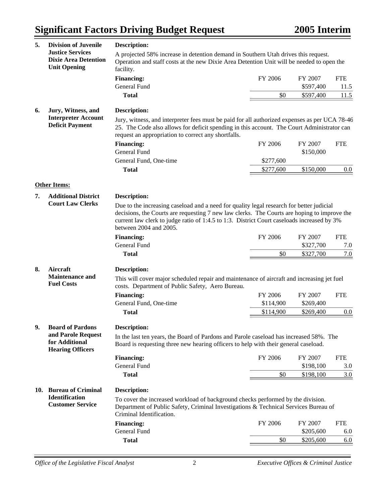| 5.  | <b>Division of Juvenile</b>                                                   | <b>Description:</b>                                                                                                                                                                                                                                                                                             |           |           |            |
|-----|-------------------------------------------------------------------------------|-----------------------------------------------------------------------------------------------------------------------------------------------------------------------------------------------------------------------------------------------------------------------------------------------------------------|-----------|-----------|------------|
|     | <b>Justice Services</b><br><b>Dixie Area Detention</b><br><b>Unit Opening</b> | A projected 58% increase in detention demand in Southern Utah drives this request.<br>Operation and staff costs at the new Dixie Area Detention Unit will be needed to open the<br>facility.                                                                                                                    |           |           |            |
|     |                                                                               | <b>Financing:</b>                                                                                                                                                                                                                                                                                               | FY 2006   | FY 2007   | <b>FTE</b> |
|     |                                                                               | General Fund                                                                                                                                                                                                                                                                                                    |           | \$597,400 | 11.5       |
|     |                                                                               | <b>Total</b>                                                                                                                                                                                                                                                                                                    | \$0       | \$597,400 | 11.5       |
| 6.  | Jury, Witness, and                                                            | <b>Description:</b>                                                                                                                                                                                                                                                                                             |           |           |            |
|     | <b>Interpreter Account</b>                                                    | Jury, witness, and interpreter fees must be paid for all authorized expenses as per UCA 78-46                                                                                                                                                                                                                   |           |           |            |
|     | <b>Deficit Payment</b>                                                        | 25. The Code also allows for deficit spending in this account. The Court Administrator can<br>request an appropriation to correct any shortfalls.                                                                                                                                                               |           |           |            |
|     |                                                                               | <b>Financing:</b>                                                                                                                                                                                                                                                                                               | FY 2006   | FY 2007   | <b>FTE</b> |
|     |                                                                               | <b>General Fund</b>                                                                                                                                                                                                                                                                                             |           | \$150,000 |            |
|     |                                                                               | General Fund, One-time                                                                                                                                                                                                                                                                                          | \$277,600 |           |            |
|     |                                                                               | <b>Total</b>                                                                                                                                                                                                                                                                                                    | \$277,600 | \$150,000 | 0.0        |
|     |                                                                               |                                                                                                                                                                                                                                                                                                                 |           |           |            |
|     | <b>Other Items:</b>                                                           |                                                                                                                                                                                                                                                                                                                 |           |           |            |
| 7.  | <b>Additional District</b>                                                    | <b>Description:</b>                                                                                                                                                                                                                                                                                             |           |           |            |
|     | <b>Court Law Clerks</b>                                                       | Due to the increasing caseload and a need for quality legal research for better judicial<br>decisions, the Courts are requesting 7 new law clerks. The Courts are hoping to improve the<br>current law clerk to judge ratio of 1:4.5 to 1:3. District Court caseloads increased by 3%<br>between 2004 and 2005. |           |           |            |
|     |                                                                               | <b>Financing:</b>                                                                                                                                                                                                                                                                                               | FY 2006   | FY 2007   | <b>FTE</b> |
|     |                                                                               | General Fund                                                                                                                                                                                                                                                                                                    |           | \$327,700 | 7.0        |
|     |                                                                               | <b>Total</b>                                                                                                                                                                                                                                                                                                    | \$0       | \$327,700 | 7.0        |
| 8.  | Aircraft                                                                      | <b>Description:</b>                                                                                                                                                                                                                                                                                             |           |           |            |
|     | <b>Maintenance and</b><br><b>Fuel Costs</b>                                   | This will cover major scheduled repair and maintenance of aircraft and increasing jet fuel<br>costs. Department of Public Safety, Aero Bureau.                                                                                                                                                                  |           |           |            |
|     |                                                                               | <b>Financing:</b>                                                                                                                                                                                                                                                                                               | FY 2006   | FY 2007   | <b>FTE</b> |
|     |                                                                               | General Fund, One-time                                                                                                                                                                                                                                                                                          | \$114,900 | \$269,400 |            |
|     |                                                                               | <b>Total</b>                                                                                                                                                                                                                                                                                                    | \$114,900 | \$269,400 | 0.0        |
| 9.  | <b>Board of Pardons</b>                                                       | <b>Description:</b>                                                                                                                                                                                                                                                                                             |           |           |            |
|     | and Parole Request<br>for Additional<br><b>Hearing Officers</b>               | In the last ten years, the Board of Pardons and Parole caseload has increased 58%. The<br>Board is requesting three new hearing officers to help with their general caseload.                                                                                                                                   |           |           |            |
|     |                                                                               | <b>Financing:</b>                                                                                                                                                                                                                                                                                               | FY 2006   | FY 2007   | <b>FTE</b> |
|     |                                                                               | General Fund                                                                                                                                                                                                                                                                                                    |           | \$198,100 | 3.0        |
|     |                                                                               | <b>Total</b>                                                                                                                                                                                                                                                                                                    | \$0       | \$198,100 | 3.0        |
| 10. | <b>Bureau of Criminal</b>                                                     | <b>Description:</b>                                                                                                                                                                                                                                                                                             |           |           |            |
|     | <b>Identification</b><br><b>Customer Service</b>                              | To cover the increased workload of background checks performed by the division.<br>Department of Public Safety, Criminal Investigations & Technical Services Bureau of<br>Criminal Identification.                                                                                                              |           |           |            |
|     |                                                                               | <b>Financing:</b>                                                                                                                                                                                                                                                                                               | FY 2006   | FY 2007   | <b>FTE</b> |
|     |                                                                               | General Fund                                                                                                                                                                                                                                                                                                    |           | \$205,600 | 6.0        |
|     |                                                                               | <b>Total</b>                                                                                                                                                                                                                                                                                                    | \$0       | \$205,600 | 6.0        |
|     |                                                                               |                                                                                                                                                                                                                                                                                                                 |           |           |            |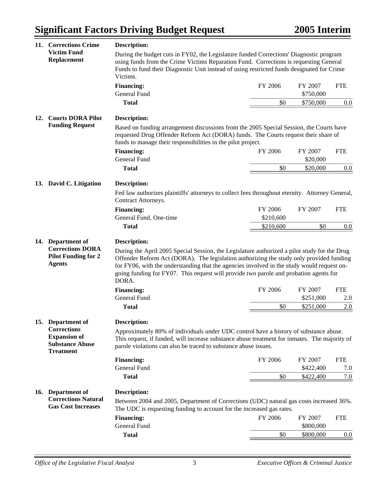| 11. | <b>Corrections Crime</b>                                                                                     | <b>Description:</b>                                                                                                                                                                                                                                                                                                                                                                                                                                                 |                |                                   |                          |
|-----|--------------------------------------------------------------------------------------------------------------|---------------------------------------------------------------------------------------------------------------------------------------------------------------------------------------------------------------------------------------------------------------------------------------------------------------------------------------------------------------------------------------------------------------------------------------------------------------------|----------------|-----------------------------------|--------------------------|
|     | <b>Victim Fund</b><br>Replacement                                                                            | During the budget cuts in FY02, the Legislature funded Corrections' Diagnostic program<br>using funds from the Crime Victims Reparation Fund. Corrections is requesting General<br>Funds to fund their Diagnostic Unit instead of using restricted funds designated for Crime<br>Victims.                                                                                                                                                                           |                |                                   |                          |
|     |                                                                                                              | <b>Financing:</b><br><b>General Fund</b>                                                                                                                                                                                                                                                                                                                                                                                                                            | FY 2006        | FY 2007<br>\$750,000              | <b>FTE</b>               |
|     |                                                                                                              | <b>Total</b>                                                                                                                                                                                                                                                                                                                                                                                                                                                        | \$0            | \$750,000                         | 0.0                      |
| 12. | <b>Courts DORA Pilot</b><br><b>Funding Request</b>                                                           | <b>Description:</b>                                                                                                                                                                                                                                                                                                                                                                                                                                                 |                |                                   |                          |
|     |                                                                                                              | Based on funding arrangement discussions from the 2005 Special Session, the Courts have<br>requested Drug Offender Reform Act (DORA) funds. The Courts request their share of<br>funds to manage their responsibilities in the pilot project.                                                                                                                                                                                                                       |                |                                   |                          |
|     |                                                                                                              | <b>Financing:</b>                                                                                                                                                                                                                                                                                                                                                                                                                                                   | FY 2006        | FY 2007                           | <b>FTE</b>               |
|     |                                                                                                              | General Fund                                                                                                                                                                                                                                                                                                                                                                                                                                                        | \$0            | \$20,000                          |                          |
|     |                                                                                                              | <b>Total</b>                                                                                                                                                                                                                                                                                                                                                                                                                                                        |                | \$20,000                          | 0.0                      |
|     | 13. David C. Litigation                                                                                      | <b>Description:</b>                                                                                                                                                                                                                                                                                                                                                                                                                                                 |                |                                   |                          |
|     |                                                                                                              | Fed law authorizes plaintiffs' attorneys to collect fees throughout eternity. Attorney General,<br>Contract Attorneys.                                                                                                                                                                                                                                                                                                                                              |                |                                   |                          |
|     |                                                                                                              | <b>Financing:</b>                                                                                                                                                                                                                                                                                                                                                                                                                                                   | FY 2006        | FY 2007                           | <b>FTE</b>               |
|     |                                                                                                              | General Fund, One-time                                                                                                                                                                                                                                                                                                                                                                                                                                              | \$210,600      |                                   |                          |
|     |                                                                                                              | <b>Total</b>                                                                                                                                                                                                                                                                                                                                                                                                                                                        | \$210,600      | \$0                               | 0.0                      |
|     | 14. Department of<br><b>Corrections DORA</b><br><b>Pilot Funding for 2</b><br><b>Agents</b>                  | <b>Description:</b><br>During the April 2005 Special Session, the Legislature authorized a pilot study for the Drug<br>Offender Reform Act (DORA). The legislation authorizing the study only provided funding<br>for FY06, with the understanding that the agencies involved in the study would request on-<br>going funding for FY07. This request will provide two parole and probation agents for<br>DORA.<br><b>Financing:</b><br>General Fund<br><b>Total</b> | FY 2006<br>\$0 | FY 2007<br>\$251,000<br>\$251,000 | <b>FTE</b><br>2.0<br>2.0 |
|     | 15. Department of<br><b>Corrections</b><br><b>Expansion of</b><br><b>Substance Abuse</b><br><b>Treatment</b> | <b>Description:</b><br>Approximately 80% of individuals under UDC control have a history of substance abuse.<br>This request, if funded, will increase substance abuse treatment for inmates. The majority of<br>parole violations can also be traced to substance abuse issues.<br><b>Financing:</b><br>General Fund<br><b>Total</b>                                                                                                                               | FY 2006<br>\$0 | FY 2007<br>\$422,400<br>\$422,400 | <b>FTE</b><br>7.0<br>7.0 |
|     |                                                                                                              |                                                                                                                                                                                                                                                                                                                                                                                                                                                                     |                |                                   |                          |
|     | 16. Department of<br><b>Corrections Natural</b><br><b>Gas Cost Increases</b>                                 | <b>Description:</b><br>Between 2004 and 2005, Department of Corrections (UDC) natural gas costs increased 36%.<br>The UDC is requesting funding to account for the increased gas rates.                                                                                                                                                                                                                                                                             |                |                                   |                          |
|     |                                                                                                              | <b>Financing:</b><br>General Fund                                                                                                                                                                                                                                                                                                                                                                                                                                   | FY 2006        | FY 2007<br>\$800,000              | <b>FTE</b>               |
|     |                                                                                                              | <b>Total</b>                                                                                                                                                                                                                                                                                                                                                                                                                                                        | \$0            | \$800,000                         | 0.0                      |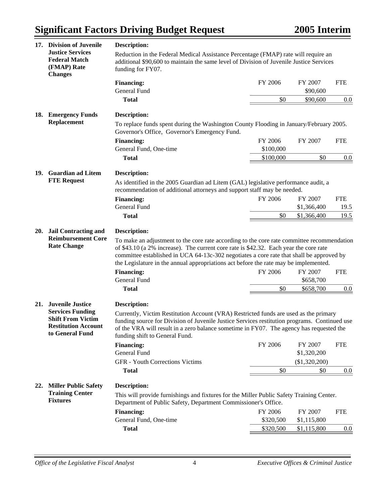| 17. | <b>Division of Juvenile</b>                                                                                                     | Description:                                                                                                                                                                                                                                                                                                                                                                                                                            |                        |                                                |                   |  |
|-----|---------------------------------------------------------------------------------------------------------------------------------|-----------------------------------------------------------------------------------------------------------------------------------------------------------------------------------------------------------------------------------------------------------------------------------------------------------------------------------------------------------------------------------------------------------------------------------------|------------------------|------------------------------------------------|-------------------|--|
|     | <b>Justice Services</b><br><b>Federal Match</b><br>(FMAP) Rate<br><b>Changes</b>                                                | Reduction in the Federal Medical Assistance Percentage (FMAP) rate will require an<br>additional \$90,600 to maintain the same level of Division of Juvenile Justice Services<br>funding for FY07.                                                                                                                                                                                                                                      |                        |                                                |                   |  |
|     |                                                                                                                                 | <b>Financing:</b>                                                                                                                                                                                                                                                                                                                                                                                                                       | FY 2006                | FY 2007                                        | <b>FTE</b>        |  |
|     |                                                                                                                                 | General Fund                                                                                                                                                                                                                                                                                                                                                                                                                            |                        | \$90,600                                       |                   |  |
|     |                                                                                                                                 | <b>Total</b>                                                                                                                                                                                                                                                                                                                                                                                                                            | \$0                    | \$90,600                                       | 0.0               |  |
|     | 18. Emergency Funds                                                                                                             | <b>Description:</b>                                                                                                                                                                                                                                                                                                                                                                                                                     |                        |                                                |                   |  |
|     | <b>Replacement</b>                                                                                                              | To replace funds spent during the Washington County Flooding in January/February 2005.<br>Governor's Office, Governor's Emergency Fund.                                                                                                                                                                                                                                                                                                 |                        |                                                |                   |  |
|     |                                                                                                                                 | <b>Financing:</b>                                                                                                                                                                                                                                                                                                                                                                                                                       | FY 2006                | FY 2007                                        | <b>FTE</b>        |  |
|     |                                                                                                                                 | General Fund, One-time                                                                                                                                                                                                                                                                                                                                                                                                                  | \$100,000              |                                                |                   |  |
|     |                                                                                                                                 | <b>Total</b>                                                                                                                                                                                                                                                                                                                                                                                                                            | \$100,000              | \$0                                            | 0.0               |  |
|     | 19. Guardian ad Litem                                                                                                           | <b>Description:</b>                                                                                                                                                                                                                                                                                                                                                                                                                     |                        |                                                |                   |  |
|     | <b>FTE Request</b>                                                                                                              | As identified in the 2005 Guardian ad Litem (GAL) legislative performance audit, a<br>recommendation of additional attorneys and support staff may be needed.                                                                                                                                                                                                                                                                           |                        |                                                |                   |  |
|     |                                                                                                                                 | <b>Financing:</b>                                                                                                                                                                                                                                                                                                                                                                                                                       | FY 2006                | FY 2007                                        | <b>FTE</b>        |  |
|     |                                                                                                                                 | General Fund                                                                                                                                                                                                                                                                                                                                                                                                                            |                        | \$1,366,400                                    | 19.5              |  |
|     |                                                                                                                                 | <b>Total</b>                                                                                                                                                                                                                                                                                                                                                                                                                            | \$0                    | \$1,366,400                                    | 19.5              |  |
|     |                                                                                                                                 |                                                                                                                                                                                                                                                                                                                                                                                                                                         |                        |                                                |                   |  |
| 20. | <b>Jail Contracting and</b><br><b>Reimbursement Core</b><br><b>Rate Change</b>                                                  | Description:<br>To make an adjustment to the core rate according to the core rate committee recommendation<br>of \$43.10 (a 2% increase). The current core rate is \$42.32. Each year the core rate<br>committee established in UCA 64-13c-302 negotiates a core rate that shall be approved by<br>the Legislature in the annual appropriations act before the rate may be implemented.<br><b>Financing:</b><br><b>General Fund</b>     | FY 2006                | FY 2007<br>\$658,700                           | <b>FTE</b>        |  |
|     |                                                                                                                                 | <b>Total</b>                                                                                                                                                                                                                                                                                                                                                                                                                            | \$0                    | \$658,700                                      | $0.0\,$           |  |
| 21. | <b>Juvenile Justice</b><br><b>Services Funding</b><br><b>Shift From Victim</b><br><b>Restitution Account</b><br>to General Fund | <b>Description:</b><br>Currently, Victim Restitution Account (VRA) Restricted funds are used as the primary<br>funding source for Division of Juvenile Justice Services restitution programs. Continued use<br>of the VRA will result in a zero balance sometime in FY07. The agency has requested the<br>funding shift to General Fund.<br><b>Financing:</b><br>General Fund<br><b>GFR</b> - Youth Corrections Victims<br><b>Total</b> | FY 2006<br>\$0         | FY 2007<br>\$1,320,200<br>(\$1,320,200)<br>\$0 | <b>FTE</b><br>0.0 |  |
|     | 22. Miller Public Safety                                                                                                        | <b>Description:</b>                                                                                                                                                                                                                                                                                                                                                                                                                     |                        |                                                |                   |  |
|     | <b>Training Center</b><br><b>Fixtures</b>                                                                                       | This will provide furnishings and fixtures for the Miller Public Safety Training Center.<br>Department of Public Safety, Department Commissioner's Office.                                                                                                                                                                                                                                                                              |                        |                                                |                   |  |
|     |                                                                                                                                 | <b>Financing:</b>                                                                                                                                                                                                                                                                                                                                                                                                                       | FY 2006                | FY 2007                                        | <b>FTE</b>        |  |
|     |                                                                                                                                 | General Fund, One-time<br><b>Total</b>                                                                                                                                                                                                                                                                                                                                                                                                  | \$320,500<br>\$320,500 | \$1,115,800<br>\$1,115,800                     | 0.0               |  |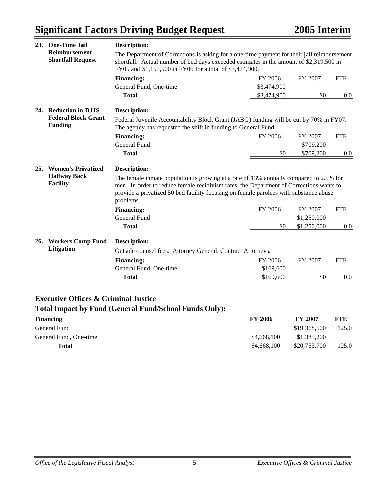# **Significant Factors Driving Budget Request**

| 23. | <b>One-Time Jail</b>                                      | <b>Description:</b>                                                                                                                                                                                                                                                                                                                                 |                |                        |            |
|-----|-----------------------------------------------------------|-----------------------------------------------------------------------------------------------------------------------------------------------------------------------------------------------------------------------------------------------------------------------------------------------------------------------------------------------------|----------------|------------------------|------------|
|     | Reimbursement<br><b>Shortfall Request</b>                 | The Department of Corrections is asking for a one-time payment for their jail reimbursement<br>shortfall. Actual number of bed days exceeded estimates in the amount of \$2,319,500 in<br>FY05 and \$1,155,500 in FY06 for a total of \$3,474,900.                                                                                                  |                |                        |            |
|     |                                                           | <b>Financing:</b>                                                                                                                                                                                                                                                                                                                                   | FY 2006        | FY 2007                | <b>FTE</b> |
|     |                                                           | General Fund, One-time                                                                                                                                                                                                                                                                                                                              | \$3,474,900    |                        |            |
|     |                                                           | <b>Total</b>                                                                                                                                                                                                                                                                                                                                        | \$3,474,900    | \$0                    | 0.0        |
|     | 24. Reduction in DJJS                                     | <b>Description:</b>                                                                                                                                                                                                                                                                                                                                 |                |                        |            |
|     | <b>Federal Block Grant</b><br><b>Funding</b>              | Federal Juvenile Accountability Block Grant (JABG) funding will be cut by 70% in FY07.<br>The agency has requested the shift in funding to General Fund.                                                                                                                                                                                            |                |                        |            |
|     |                                                           | <b>Financing:</b>                                                                                                                                                                                                                                                                                                                                   | FY 2006        | FY 2007                | <b>FTE</b> |
|     |                                                           | <b>General Fund</b>                                                                                                                                                                                                                                                                                                                                 |                | \$709,200              |            |
|     |                                                           | <b>Total</b>                                                                                                                                                                                                                                                                                                                                        | \$0            | \$709,200              | 0.0        |
|     | 25. Women's Privatized<br><b>Halfway Back</b><br>Facility | <b>Description:</b><br>The female inmate population is growing at a rate of 13% annually compared to 2.5% for<br>men. In order to reduce female recidivism rates, the Department of Corrections wants to<br>provide a privatized 50 bed facility focusing on female parolees with substance abuse<br>problems.<br><b>Financing:</b><br>General Fund | FY 2006        | FY 2007<br>\$1,250,000 | <b>FTE</b> |
|     |                                                           | <b>Total</b>                                                                                                                                                                                                                                                                                                                                        | \$0            | \$1,250,000            | 0.0        |
|     | 26. Workers Comp Fund                                     | <b>Description:</b>                                                                                                                                                                                                                                                                                                                                 |                |                        |            |
|     | Litigation                                                | Outside counsel fees. Attorney General, Contract Attorneys.                                                                                                                                                                                                                                                                                         |                |                        |            |
|     |                                                           | <b>Financing:</b>                                                                                                                                                                                                                                                                                                                                   | FY 2006        | FY 2007                | <b>FTE</b> |
|     |                                                           | General Fund, One-time                                                                                                                                                                                                                                                                                                                              | \$169,600      |                        |            |
|     |                                                           | <b>Total</b>                                                                                                                                                                                                                                                                                                                                        | \$169,600      | \$0                    | 0.0        |
|     | <b>Executive Offices &amp; Criminal Justice</b>           | <b>Total Impact by Fund (General Fund/School Funds Only):</b>                                                                                                                                                                                                                                                                                       |                |                        |            |
|     | <b>Financing</b>                                          |                                                                                                                                                                                                                                                                                                                                                     | <b>FY 2006</b> | FY 2007                | <b>FTE</b> |
|     | General Fund                                              |                                                                                                                                                                                                                                                                                                                                                     |                | \$19,368,500           | 125.0      |
|     | General Fund, One-time                                    |                                                                                                                                                                                                                                                                                                                                                     | \$4,668,100    | \$1,385,200            |            |

**Total** \$4,668,100 \$20,753,700 125.0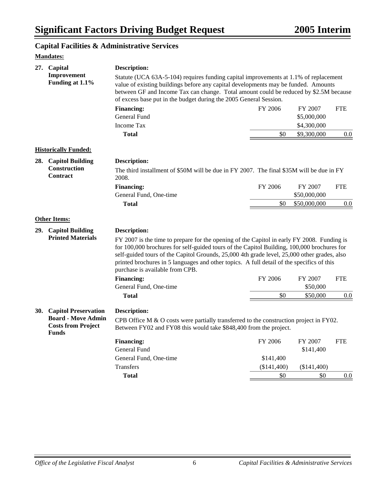## **Capital Facilities & Administrative Services**

| 27.        | Capital                                                | <b>Description:</b>                                                                                                                                                                                                                                                                                                                                                                                                     |             |              |            |
|------------|--------------------------------------------------------|-------------------------------------------------------------------------------------------------------------------------------------------------------------------------------------------------------------------------------------------------------------------------------------------------------------------------------------------------------------------------------------------------------------------------|-------------|--------------|------------|
|            | Improvement<br>Funding at 1.1%                         | Statute (UCA 63A-5-104) requires funding capital improvements at 1.1% of replacement<br>value of existing buildings before any capital developments may be funded. Amounts<br>between GF and Income Tax can change. Total amount could be reduced by \$2.5M because<br>of excess base put in the budget during the 2005 General Session.                                                                                |             |              |            |
|            |                                                        | <b>Financing:</b>                                                                                                                                                                                                                                                                                                                                                                                                       | FY 2006     | FY 2007      | <b>FTE</b> |
|            |                                                        | <b>General Fund</b>                                                                                                                                                                                                                                                                                                                                                                                                     |             | \$5,000,000  |            |
|            |                                                        | Income Tax                                                                                                                                                                                                                                                                                                                                                                                                              |             | \$4,300,000  |            |
|            |                                                        | <b>Total</b>                                                                                                                                                                                                                                                                                                                                                                                                            | \$0         | \$9,300,000  | $0.0\,$    |
|            | <b>Historically Funded:</b>                            |                                                                                                                                                                                                                                                                                                                                                                                                                         |             |              |            |
|            | 28. Capitol Building                                   | Description:                                                                                                                                                                                                                                                                                                                                                                                                            |             |              |            |
|            | Construction<br>Contract                               | The third installment of \$50M will be due in FY 2007. The final \$35M will be due in FY<br>2008.                                                                                                                                                                                                                                                                                                                       |             |              |            |
|            |                                                        | <b>Financing:</b>                                                                                                                                                                                                                                                                                                                                                                                                       | FY 2006     | FY 2007      | <b>FTE</b> |
|            |                                                        | General Fund, One-time                                                                                                                                                                                                                                                                                                                                                                                                  |             | \$50,000,000 |            |
|            |                                                        | <b>Total</b>                                                                                                                                                                                                                                                                                                                                                                                                            | \$0         | \$50,000,000 | 0.0        |
|            |                                                        |                                                                                                                                                                                                                                                                                                                                                                                                                         |             |              |            |
|            | <b>Other Items:</b>                                    |                                                                                                                                                                                                                                                                                                                                                                                                                         |             |              |            |
|            | 29. Capitol Building                                   | <b>Description:</b>                                                                                                                                                                                                                                                                                                                                                                                                     |             |              |            |
|            | <b>Printed Materials</b>                               | FY 2007 is the time to prepare for the opening of the Capitol in early FY 2008. Funding is<br>for 100,000 brochures for self-guided tours of the Capitol Building, 100,000 brochures for<br>self-guided tours of the Capitol Grounds, 25,000 4th grade level, 25,000 other grades, also<br>printed brochures in 5 languages and other topics. A full detail of the specifics of this<br>purchase is available from CPB. |             |              |            |
|            |                                                        | <b>Financing:</b>                                                                                                                                                                                                                                                                                                                                                                                                       | FY 2006     | FY 2007      | <b>FTE</b> |
|            |                                                        | General Fund, One-time                                                                                                                                                                                                                                                                                                                                                                                                  |             | \$50,000     |            |
|            |                                                        | <b>Total</b>                                                                                                                                                                                                                                                                                                                                                                                                            | \$0         | \$50,000     | 0.0        |
| <b>30.</b> | <b>Capitol Preservation</b>                            | Description:                                                                                                                                                                                                                                                                                                                                                                                                            |             |              |            |
|            | <b>Board - Move Admin</b><br><b>Costs from Project</b> | CPB Office M $\&$ O costs were partially transferred to the construction project in FY02.<br>Between FY02 and FY08 this would take \$848,400 from the project.                                                                                                                                                                                                                                                          |             |              |            |
|            | <b>Funds</b>                                           | <b>Financing:</b>                                                                                                                                                                                                                                                                                                                                                                                                       | FY 2006     | FY 2007      | <b>FTE</b> |
|            |                                                        | General Fund                                                                                                                                                                                                                                                                                                                                                                                                            |             | \$141,400    |            |
|            |                                                        | General Fund, One-time                                                                                                                                                                                                                                                                                                                                                                                                  | \$141,400   |              |            |
|            |                                                        | <b>Transfers</b>                                                                                                                                                                                                                                                                                                                                                                                                        | (\$141,400) | (\$141,400)  |            |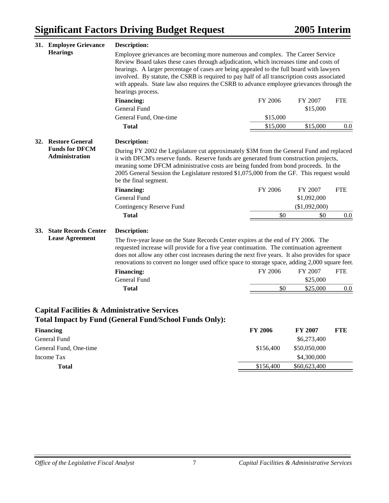|            | 31. Employee Grievance      | <b>Description:</b>                                                                                                                                                                                                                                                                                                                                                                                                                                               |          |                        |            |
|------------|-----------------------------|-------------------------------------------------------------------------------------------------------------------------------------------------------------------------------------------------------------------------------------------------------------------------------------------------------------------------------------------------------------------------------------------------------------------------------------------------------------------|----------|------------------------|------------|
|            | <b>Hearings</b>             | Employee grievances are becoming more numerous and complex. The Career Service<br>Review Board takes these cases through adjudication, which increases time and costs of<br>hearings. A larger percentage of cases are being appealed to the full board with lawyers<br>involved. By statute, the CSRB is required to pay half of all transcription costs associated<br>with appeals. State law also requires the CSRB to advance employee grievances through the |          |                        |            |
|            |                             | hearings process.                                                                                                                                                                                                                                                                                                                                                                                                                                                 |          |                        |            |
|            |                             | <b>Financing:</b><br><b>General Fund</b>                                                                                                                                                                                                                                                                                                                                                                                                                          | FY 2006  | FY 2007<br>\$15,000    | <b>FTE</b> |
|            |                             | General Fund, One-time                                                                                                                                                                                                                                                                                                                                                                                                                                            | \$15,000 |                        |            |
|            |                             | <b>Total</b>                                                                                                                                                                                                                                                                                                                                                                                                                                                      | \$15,000 | \$15,000               | 0.0        |
|            | 32. Restore General         | <b>Description:</b>                                                                                                                                                                                                                                                                                                                                                                                                                                               |          |                        |            |
|            | <b>Administration</b>       |                                                                                                                                                                                                                                                                                                                                                                                                                                                                   |          |                        |            |
|            |                             | it with DFCM's reserve funds. Reserve funds are generated from construction projects,<br>meaning some DFCM administrative costs are being funded from bond proceeds. In the<br>2005 General Session the Legislature restored \$1,075,000 from the GF. This request would<br>be the final segment.<br><b>Financing:</b><br>General Fund                                                                                                                            | FY 2006  | FY 2007<br>\$1,092,000 | <b>FTE</b> |
|            |                             | Contingency Reserve Fund                                                                                                                                                                                                                                                                                                                                                                                                                                          |          | (\$1,092,000)          |            |
|            |                             | <b>Total</b>                                                                                                                                                                                                                                                                                                                                                                                                                                                      | \$0      | \$0                    | 0.0        |
| <b>33.</b> | <b>State Records Center</b> | <b>Description:</b>                                                                                                                                                                                                                                                                                                                                                                                                                                               |          |                        |            |
|            | <b>Lease Agreement</b>      | The five-year lease on the State Records Center expires at the end of FY 2006. The<br>requested increase will provide for a five year continuation. The continuation agreement<br>does not allow any other cost increases during the next five years. It also provides for space<br>renovations to convert no longer used office space to storage space, adding 2,000 square feet.                                                                                |          |                        |            |
|            |                             | <b>Financing:</b>                                                                                                                                                                                                                                                                                                                                                                                                                                                 | FY 2006  | FY 2007                | <b>FTE</b> |
|            |                             | <b>General Fund</b><br><b>Total</b>                                                                                                                                                                                                                                                                                                                                                                                                                               | \$0      | \$25,000<br>\$25,000   |            |

## **Capital Facilities & Administrative Services Total Impact by Fund (General Fund/School Funds Only):**

| <b>Financing</b>       | <b>FY 2006</b> | <b>FY 2007</b> | <b>FTE</b> |
|------------------------|----------------|----------------|------------|
| General Fund           |                | \$6,273,400    |            |
| General Fund, One-time | \$156,400      | \$50,050,000   |            |
| Income Tax             |                | \$4,300,000    |            |
| <b>Total</b>           | \$156,400      | \$60,623,400   |            |
|                        |                |                |            |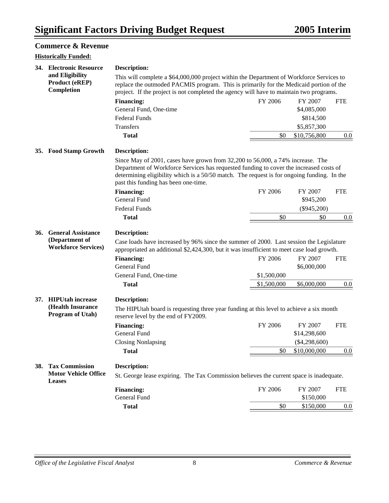### **Commerce & Revenue**

|     | <b>Historically Funded:</b>                                               |                                                                                                                                                                                                                                                                                                                |             |                 |            |
|-----|---------------------------------------------------------------------------|----------------------------------------------------------------------------------------------------------------------------------------------------------------------------------------------------------------------------------------------------------------------------------------------------------------|-------------|-----------------|------------|
|     | 34. Electronic Resource                                                   | Description:                                                                                                                                                                                                                                                                                                   |             |                 |            |
|     | and Eligibility<br><b>Product (eREP)</b><br>Completion                    | This will complete a \$64,000,000 project within the Department of Workforce Services to<br>replace the outmoded PACMIS program. This is primarily for the Medicaid portion of the<br>project. If the project is not completed the agency will have to maintain two programs.                                  |             |                 |            |
|     |                                                                           | <b>Financing:</b>                                                                                                                                                                                                                                                                                              | FY 2006     | FY 2007         | <b>FTE</b> |
|     |                                                                           | General Fund, One-time                                                                                                                                                                                                                                                                                         |             | \$4,085,000     |            |
|     |                                                                           | <b>Federal Funds</b>                                                                                                                                                                                                                                                                                           |             | \$814,500       |            |
|     |                                                                           | Transfers                                                                                                                                                                                                                                                                                                      |             | \$5,857,300     |            |
|     |                                                                           | <b>Total</b>                                                                                                                                                                                                                                                                                                   | \$0         | \$10,756,800    | 0.0        |
|     | 35. Food Stamp Growth                                                     | <b>Description:</b>                                                                                                                                                                                                                                                                                            |             |                 |            |
|     |                                                                           | Since May of 2001, cases have grown from 32,200 to 56,000, a 74% increase. The<br>Department of Workforce Services has requested funding to cover the increased costs of<br>determining eligibility which is a 50/50 match. The request is for ongoing funding. In the<br>past this funding has been one-time. |             |                 |            |
|     |                                                                           | <b>Financing:</b>                                                                                                                                                                                                                                                                                              | FY 2006     | FY 2007         | <b>FTE</b> |
|     |                                                                           | <b>General Fund</b>                                                                                                                                                                                                                                                                                            |             | \$945,200       |            |
|     |                                                                           | <b>Federal Funds</b>                                                                                                                                                                                                                                                                                           |             | $(\$945,200)$   |            |
|     |                                                                           | <b>Total</b>                                                                                                                                                                                                                                                                                                   | \$0         | \$0             | 0.0        |
| 36. | <b>General Assistance</b><br>(Department of<br><b>Workforce Services)</b> | <b>Description:</b><br>Case loads have increased by 96% since the summer of 2000. Last session the Legislature<br>appropriated an additional \$2,424,300, but it was insufficient to meet case load growth.                                                                                                    |             |                 |            |
|     |                                                                           | <b>Financing:</b>                                                                                                                                                                                                                                                                                              | FY 2006     | FY 2007         | <b>FTE</b> |
|     |                                                                           | General Fund                                                                                                                                                                                                                                                                                                   |             | \$6,000,000     |            |
|     |                                                                           | General Fund, One-time                                                                                                                                                                                                                                                                                         | \$1,500,000 |                 |            |
|     |                                                                           | <b>Total</b>                                                                                                                                                                                                                                                                                                   | \$1,500,000 | \$6,000,000     | 0.0        |
| 37. | <b>HIPUtah increase</b>                                                   | <b>Description:</b>                                                                                                                                                                                                                                                                                            |             |                 |            |
|     | (Health Insurance<br>Program of Utah)                                     | The HIPUtah board is requesting three year funding at this level to achieve a six month<br>reserve level by the end of FY2009.                                                                                                                                                                                 |             |                 |            |
|     |                                                                           | <b>Financing:</b>                                                                                                                                                                                                                                                                                              | FY 2006     | FY 2007         | <b>FTE</b> |
|     |                                                                           | <b>General Fund</b>                                                                                                                                                                                                                                                                                            |             | \$14,298,600    |            |
|     |                                                                           | <b>Closing Nonlapsing</b>                                                                                                                                                                                                                                                                                      |             | $(\$4,298,600)$ |            |
|     |                                                                           | <b>Total</b>                                                                                                                                                                                                                                                                                                   | \$0         | \$10,000,000    | 0.0        |
| 38. | <b>Tax Commission</b>                                                     | <b>Description:</b>                                                                                                                                                                                                                                                                                            |             |                 |            |
|     | <b>Motor Vehicle Office</b><br><b>Leases</b>                              | St. George lease expiring. The Tax Commission believes the current space is inadequate.                                                                                                                                                                                                                        |             |                 |            |
|     |                                                                           | <b>Financing:</b>                                                                                                                                                                                                                                                                                              | FY 2006     | FY 2007         | <b>FTE</b> |
|     |                                                                           | General Fund                                                                                                                                                                                                                                                                                                   |             | \$150,000       |            |
|     |                                                                           | <b>Total</b>                                                                                                                                                                                                                                                                                                   | \$0         | \$150,000       | 0.0        |
|     |                                                                           |                                                                                                                                                                                                                                                                                                                |             |                 |            |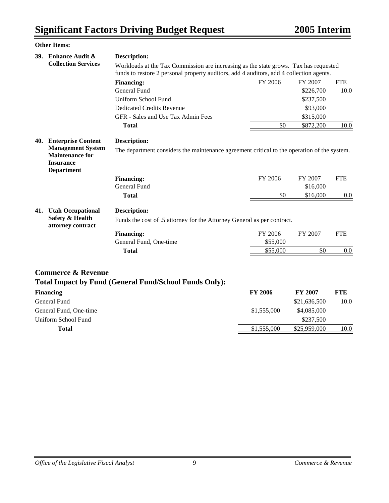|            | <b>Other Items:</b>                                              |                                                                                                                                                                                 |                     |                     |            |  |  |
|------------|------------------------------------------------------------------|---------------------------------------------------------------------------------------------------------------------------------------------------------------------------------|---------------------|---------------------|------------|--|--|
| <b>39.</b> | <b>Enhance Audit &amp;</b>                                       | <b>Description:</b>                                                                                                                                                             |                     |                     |            |  |  |
|            | <b>Collection Services</b>                                       | Workloads at the Tax Commission are increasing as the state grows. Tax has requested<br>funds to restore 2 personal property auditors, add 4 auditors, add 4 collection agents. |                     |                     |            |  |  |
|            |                                                                  | <b>Financing:</b>                                                                                                                                                               | FY 2006             | FY 2007             | <b>FTE</b> |  |  |
|            |                                                                  | General Fund                                                                                                                                                                    |                     | \$226,700           | 10.0       |  |  |
|            |                                                                  | Uniform School Fund                                                                                                                                                             |                     | \$237,500           |            |  |  |
|            |                                                                  | <b>Dedicated Credits Revenue</b>                                                                                                                                                |                     | \$93,000            |            |  |  |
|            |                                                                  | GFR - Sales and Use Tax Admin Fees                                                                                                                                              |                     | \$315,000           |            |  |  |
|            |                                                                  | <b>Total</b>                                                                                                                                                                    | \$0                 | \$872,200           | 10.0       |  |  |
|            | <b>Maintenance for</b><br><b>Insurance</b><br><b>Department</b>  | The department considers the maintenance agreement critical to the operation of the system.<br><b>Financing:</b><br>General Fund                                                | FY 2006             | FY 2007<br>\$16,000 | <b>FTE</b> |  |  |
|            |                                                                  | <b>Total</b>                                                                                                                                                                    | \$0                 | \$16,000            | 0.0        |  |  |
| 41.        | <b>Utah Occupational</b><br>Safety & Health<br>attorney contract | <b>Description:</b><br>Funds the cost of .5 attorney for the Attorney General as per contract.<br><b>Financing:</b><br>General Fund, One-time                                   | FY 2006<br>\$55,000 | FY 2007             | <b>FTE</b> |  |  |
|            |                                                                  | <b>Total</b>                                                                                                                                                                    | \$55,000            | \$0                 | 0.0        |  |  |
|            |                                                                  |                                                                                                                                                                                 |                     |                     |            |  |  |

## **Commerce & Revenue Total Impact by Fund (General Fund/School Funds Only):**

| <b>Financing</b>       | <b>FY 2006</b> | <b>FY 2007</b> | FTE  |
|------------------------|----------------|----------------|------|
| General Fund           |                | \$21,636,500   | 10.0 |
| General Fund, One-time | \$1,555,000    | \$4,085,000    |      |
| Uniform School Fund    |                | \$237,500      |      |
| Total                  | \$1,555,000    | \$25,959,000   | 10.0 |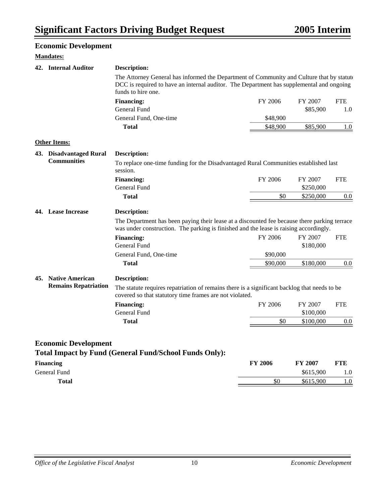|  | <b>Economic Development</b> |                                                                                                                                                                                                             |                |           |            |
|--|-----------------------------|-------------------------------------------------------------------------------------------------------------------------------------------------------------------------------------------------------------|----------------|-----------|------------|
|  | <b>Mandates:</b>            |                                                                                                                                                                                                             |                |           |            |
|  | 42. Internal Auditor        | <b>Description:</b>                                                                                                                                                                                         |                |           |            |
|  |                             | The Attorney General has informed the Department of Community and Culture that by statute<br>DCC is required to have an internal auditor. The Department has supplemental and ongoing<br>funds to hire one. |                |           |            |
|  |                             | <b>Financing:</b>                                                                                                                                                                                           | FY 2006        | FY 2007   | <b>FTE</b> |
|  |                             | General Fund                                                                                                                                                                                                |                | \$85,900  | 1.0        |
|  |                             | General Fund, One-time                                                                                                                                                                                      | \$48,900       |           |            |
|  |                             | <b>Total</b>                                                                                                                                                                                                | \$48,900       | \$85,900  | 1.0        |
|  | <b>Other Items:</b>         |                                                                                                                                                                                                             |                |           |            |
|  | 43. Disadvantaged Rural     | <b>Description:</b>                                                                                                                                                                                         |                |           |            |
|  | <b>Communities</b>          | To replace one-time funding for the Disadvantaged Rural Communities established last<br>session.                                                                                                            |                |           |            |
|  |                             | <b>Financing:</b>                                                                                                                                                                                           | FY 2006        | FY 2007   | <b>FTE</b> |
|  |                             | <b>General Fund</b>                                                                                                                                                                                         |                | \$250,000 |            |
|  |                             | <b>Total</b>                                                                                                                                                                                                | \$0            | \$250,000 | $0.0\,$    |
|  | 44. Lease Increase          | The Department has been paying their lease at a discounted fee because there parking terrace                                                                                                                |                |           |            |
|  |                             | was under construction. The parking is finished and the lease is raising accordingly.<br><b>Financing:</b>                                                                                                  | FY 2006        | FY 2007   | <b>FTE</b> |
|  |                             | General Fund                                                                                                                                                                                                |                | \$180,000 |            |
|  |                             | General Fund, One-time                                                                                                                                                                                      | \$90,000       |           |            |
|  |                             | <b>Total</b>                                                                                                                                                                                                | \$90,000       | \$180,000 | 0.0        |
|  | 45. Native American         | <b>Description:</b>                                                                                                                                                                                         |                |           |            |
|  | <b>Remains Repatriation</b> | The statute requires repatriation of remains there is a significant backlog that needs to be<br>covered so that statutory time frames are not violated.                                                     |                |           |            |
|  |                             | <b>Financing:</b>                                                                                                                                                                                           | FY 2006        | FY 2007   | <b>FTE</b> |
|  |                             | General Fund                                                                                                                                                                                                |                | \$100,000 |            |
|  |                             | <b>Total</b>                                                                                                                                                                                                | \$0            | \$100,000 | 0.0        |
|  | <b>Economic Development</b> |                                                                                                                                                                                                             |                |           |            |
|  |                             | <b>Total Impact by Fund (General Fund/School Funds Only):</b>                                                                                                                                               |                |           |            |
|  | <b>Financing</b>            |                                                                                                                                                                                                             | <b>FY 2006</b> | FY 2007   | <b>FTE</b> |
|  | General Fund                |                                                                                                                                                                                                             |                | \$615,900 | 1.0        |
|  | <b>Total</b>                |                                                                                                                                                                                                             | \$0            | \$615,900 | 1.0        |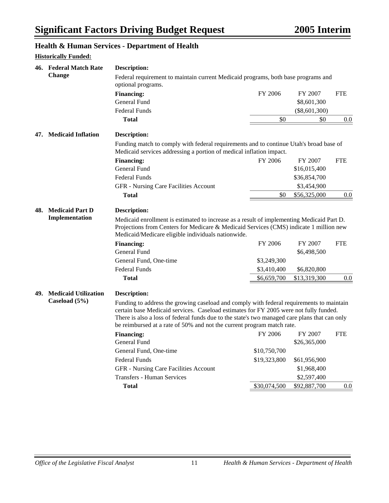## **Health & Human Services - Department of Health**

|     | <b>Historically Funded:</b>           | Treatur & Truman Services - Department of Treatur                                                                                                                                                                                                                                                                                                            |              |                        |            |
|-----|---------------------------------------|--------------------------------------------------------------------------------------------------------------------------------------------------------------------------------------------------------------------------------------------------------------------------------------------------------------------------------------------------------------|--------------|------------------------|------------|
|     | 46. Federal Match Rate                | <b>Description:</b>                                                                                                                                                                                                                                                                                                                                          |              |                        |            |
|     | <b>Change</b>                         | Federal requirement to maintain current Medicaid programs, both base programs and<br>optional programs.                                                                                                                                                                                                                                                      |              |                        |            |
|     |                                       | <b>Financing:</b>                                                                                                                                                                                                                                                                                                                                            | FY 2006      | FY 2007                | <b>FTE</b> |
|     |                                       | <b>General Fund</b>                                                                                                                                                                                                                                                                                                                                          |              | \$8,601,300            |            |
|     |                                       | <b>Federal Funds</b>                                                                                                                                                                                                                                                                                                                                         |              | $(\$8,601,300)$        |            |
|     |                                       | <b>Total</b>                                                                                                                                                                                                                                                                                                                                                 | \$0          | \$0                    | 0.0        |
| 47. | <b>Medicaid Inflation</b>             | <b>Description:</b>                                                                                                                                                                                                                                                                                                                                          |              |                        |            |
|     |                                       | Funding match to comply with federal requirements and to continue Utah's broad base of<br>Medicaid services addressing a portion of medical inflation impact.                                                                                                                                                                                                |              |                        |            |
|     |                                       | <b>Financing:</b>                                                                                                                                                                                                                                                                                                                                            | FY 2006      | FY 2007                | <b>FTE</b> |
|     |                                       | <b>General Fund</b>                                                                                                                                                                                                                                                                                                                                          |              | \$16,015,400           |            |
|     |                                       | <b>Federal Funds</b>                                                                                                                                                                                                                                                                                                                                         |              | \$36,854,700           |            |
|     |                                       | GFR - Nursing Care Facilities Account                                                                                                                                                                                                                                                                                                                        |              | \$3,454,900            |            |
|     |                                       | <b>Total</b>                                                                                                                                                                                                                                                                                                                                                 | \$0          | \$56,325,000           | 0.0        |
|     | 48. Medicaid Part D<br>Implementation | <b>Description:</b><br>Medicaid enrollment is estimated to increase as a result of implementing Medicaid Part D.<br>Projections from Centers for Medicare & Medicaid Services (CMS) indicate 1 million new<br>Medicaid/Medicare eligible individuals nationwide.                                                                                             |              |                        |            |
|     |                                       | <b>Financing:</b><br>General Fund                                                                                                                                                                                                                                                                                                                            | FY 2006      | FY 2007<br>\$6,498,500 | <b>FTE</b> |
|     |                                       | General Fund, One-time                                                                                                                                                                                                                                                                                                                                       | \$3,249,300  |                        |            |
|     |                                       | <b>Federal Funds</b>                                                                                                                                                                                                                                                                                                                                         | \$3,410,400  | \$6,820,800            |            |
|     |                                       | <b>Total</b>                                                                                                                                                                                                                                                                                                                                                 | \$6,659,700  | \$13,319,300           | 0.0        |
| 49. | <b>Medicaid Utilization</b>           | <b>Description:</b>                                                                                                                                                                                                                                                                                                                                          |              |                        |            |
|     | Caseload (5%)                         | Funding to address the growing caseload and comply with federal requirements to maintain<br>certain base Medicaid services. Caseload estimates for FY 2005 were not fully funded.<br>There is also a loss of federal funds due to the state's two managed care plans that can only<br>be reimbursed at a rate of 50% and not the current program match rate. |              |                        |            |
|     |                                       | <b>Financing:</b>                                                                                                                                                                                                                                                                                                                                            | FY 2006      | FY 2007                | <b>FTE</b> |
|     |                                       | General Fund                                                                                                                                                                                                                                                                                                                                                 |              | \$26,365,000           |            |
|     |                                       | General Fund, One-time                                                                                                                                                                                                                                                                                                                                       | \$10,750,700 |                        |            |
|     |                                       | <b>Federal Funds</b>                                                                                                                                                                                                                                                                                                                                         | \$19,323,800 | \$61,956,900           |            |
|     |                                       | <b>GFR</b> - Nursing Care Facilities Account                                                                                                                                                                                                                                                                                                                 |              | \$1,968,400            |            |
|     |                                       | <b>Transfers - Human Services</b>                                                                                                                                                                                                                                                                                                                            |              | \$2,597,400            |            |
|     |                                       | <b>Total</b>                                                                                                                                                                                                                                                                                                                                                 | \$30,074,500 | \$92,887,700           | 0.0        |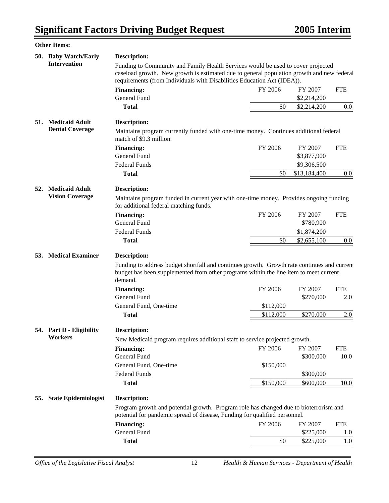|     | <b>Other Items:</b>         |                                                                                                                                                                                                                                                          |           |              |            |  |  |
|-----|-----------------------------|----------------------------------------------------------------------------------------------------------------------------------------------------------------------------------------------------------------------------------------------------------|-----------|--------------|------------|--|--|
|     | 50. Baby Watch/Early        | <b>Description:</b>                                                                                                                                                                                                                                      |           |              |            |  |  |
|     | <b>Intervention</b>         | Funding to Community and Family Health Services would be used to cover projected<br>caseload growth. New growth is estimated due to general population growth and new federal<br>requirements (from Individuals with Disabilities Education Act (IDEA)). |           |              |            |  |  |
|     |                             | <b>Financing:</b>                                                                                                                                                                                                                                        | FY 2006   | FY 2007      | <b>FTE</b> |  |  |
|     |                             | <b>General Fund</b>                                                                                                                                                                                                                                      |           | \$2,214,200  |            |  |  |
|     |                             | <b>Total</b>                                                                                                                                                                                                                                             | \$0       | \$2,214,200  | $0.0\,$    |  |  |
| 51. | <b>Medicaid Adult</b>       | <b>Description:</b>                                                                                                                                                                                                                                      |           |              |            |  |  |
|     | <b>Dental Coverage</b>      | Maintains program currently funded with one-time money. Continues additional federal<br>match of \$9.3 million.                                                                                                                                          |           |              |            |  |  |
|     |                             | <b>Financing:</b>                                                                                                                                                                                                                                        | FY 2006   | FY 2007      | <b>FTE</b> |  |  |
|     |                             | General Fund                                                                                                                                                                                                                                             |           | \$3,877,900  |            |  |  |
|     |                             | <b>Federal Funds</b>                                                                                                                                                                                                                                     |           | \$9,306,500  |            |  |  |
|     |                             | <b>Total</b>                                                                                                                                                                                                                                             | \$0       | \$13,184,400 | 0.0        |  |  |
| 52. | <b>Medicaid Adult</b>       | <b>Description:</b>                                                                                                                                                                                                                                      |           |              |            |  |  |
|     | <b>Vision Coverage</b>      | Maintains program funded in current year with one-time money. Provides ongoing funding<br>for additional federal matching funds.                                                                                                                         |           |              |            |  |  |
|     |                             | <b>Financing:</b>                                                                                                                                                                                                                                        | FY 2006   | FY 2007      | <b>FTE</b> |  |  |
|     |                             | <b>General Fund</b>                                                                                                                                                                                                                                      |           | \$780,900    |            |  |  |
|     |                             | <b>Federal Funds</b>                                                                                                                                                                                                                                     |           | \$1,874,200  |            |  |  |
|     |                             | <b>Total</b>                                                                                                                                                                                                                                             | \$0       | \$2,655,100  | $0.0\,$    |  |  |
|     | 53. Medical Examiner        | <b>Description:</b>                                                                                                                                                                                                                                      |           |              |            |  |  |
|     |                             | Funding to address budget shortfall and continues growth. Growth rate continues and curren<br>budget has been supplemented from other programs within the line item to meet current<br>demand.                                                           |           |              |            |  |  |
|     |                             | <b>Financing:</b>                                                                                                                                                                                                                                        | FY 2006   | FY 2007      | <b>FTE</b> |  |  |
|     |                             | General Fund                                                                                                                                                                                                                                             |           | \$270,000    | 2.0        |  |  |
|     |                             | General Fund, One-time                                                                                                                                                                                                                                   | \$112,000 |              |            |  |  |
|     |                             | <b>Total</b>                                                                                                                                                                                                                                             | \$112,000 | \$270,000    | 2.0        |  |  |
|     | 54. Part D - Eligibility    | <b>Description:</b>                                                                                                                                                                                                                                      |           |              |            |  |  |
|     | Workers                     | New Medicaid program requires additional staff to service projected growth.                                                                                                                                                                              |           |              |            |  |  |
|     |                             | <b>Financing:</b>                                                                                                                                                                                                                                        | FY 2006   | FY 2007      | <b>FTE</b> |  |  |
|     |                             | General Fund                                                                                                                                                                                                                                             |           | \$300,000    | 10.0       |  |  |
|     |                             | General Fund, One-time                                                                                                                                                                                                                                   | \$150,000 |              |            |  |  |
|     |                             | <b>Federal Funds</b>                                                                                                                                                                                                                                     |           | \$300,000    |            |  |  |
|     |                             | <b>Total</b>                                                                                                                                                                                                                                             | \$150,000 | \$600,000    | 10.0       |  |  |
| 55. | <b>State Epidemiologist</b> | <b>Description:</b>                                                                                                                                                                                                                                      |           |              |            |  |  |
|     |                             | Program growth and potential growth. Program role has changed due to bioterrorism and<br>potential for pandemic spread of disease, Funding for qualified personnel.                                                                                      |           |              |            |  |  |
|     |                             | <b>Financing:</b>                                                                                                                                                                                                                                        | FY 2006   | FY 2007      | <b>FTE</b> |  |  |
|     |                             | <b>General Fund</b>                                                                                                                                                                                                                                      |           | \$225,000    | 1.0        |  |  |
|     |                             | <b>Total</b>                                                                                                                                                                                                                                             | \$0       | \$225,000    | 1.0        |  |  |
|     |                             |                                                                                                                                                                                                                                                          |           |              |            |  |  |

*Office of the Legislative Fiscal Analyst* 12 *Health & Human Services - Department of Health*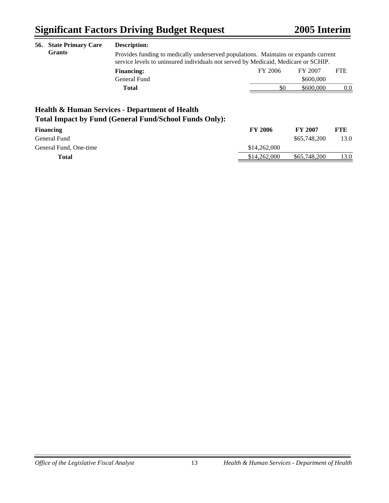| 56. | <b>State Primary Care</b> | <b>Description:</b>                                                                                                                                                       |                |                |            |  |
|-----|---------------------------|---------------------------------------------------------------------------------------------------------------------------------------------------------------------------|----------------|----------------|------------|--|
|     | <b>Grants</b>             | Provides funding to medically underserved populations. Maintains or expands current<br>service levels to uninsured individuals not served by Medicaid, Medicare or SCHIP. |                |                |            |  |
|     |                           | <b>Financing:</b>                                                                                                                                                         | FY 2006        | FY 2007        | <b>FTE</b> |  |
|     |                           | General Fund                                                                                                                                                              |                | \$600,000      |            |  |
|     | <b>Total</b>              |                                                                                                                                                                           | \$0            | \$600,000      | 0.0        |  |
|     |                           | <b>Health &amp; Human Services - Department of Health</b><br><b>Total Impact by Fund (General Fund/School Funds Only):</b>                                                |                |                |            |  |
|     | <b>Financing</b>          |                                                                                                                                                                           | <b>FY 2006</b> | <b>FY 2007</b> | FTE        |  |

| <b>Financing</b>       | FY 2006      | FY 2007      | FIE  |
|------------------------|--------------|--------------|------|
| General Fund           |              | \$65,748,200 | 13.0 |
| General Fund, One-time | \$14,262,000 |              |      |
| Total                  | \$14,262,000 | \$65,748,200 | 13.0 |
|                        |              |              |      |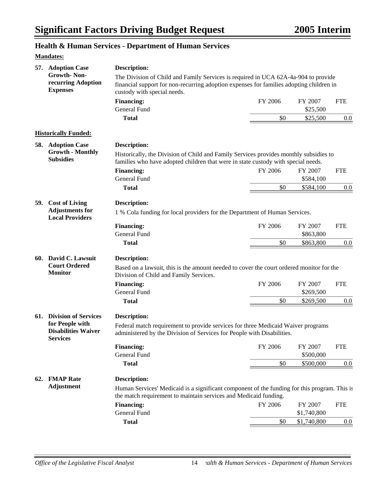## **Health & Human Services - Department of Human Services**

#### **Mandates:**

| 57. Adoption Case                                                | <b>Description:</b>                                                                                                                                                                                          |         |                     |            |
|------------------------------------------------------------------|--------------------------------------------------------------------------------------------------------------------------------------------------------------------------------------------------------------|---------|---------------------|------------|
| <b>Growth-Non-</b><br>recurring Adoption<br><b>Expenses</b>      | The Division of Child and Family Services is required in UCA 62A-4a-904 to provide<br>financial support for non-recurring adoption expenses for families adopting children in<br>custody with special needs. |         |                     |            |
|                                                                  | <b>Financing:</b><br>General Fund                                                                                                                                                                            | FY 2006 | FY 2007<br>\$25,500 | <b>FTE</b> |
|                                                                  | <b>Total</b>                                                                                                                                                                                                 | \$0     | \$25,500            | 0.0        |
|                                                                  |                                                                                                                                                                                                              |         |                     |            |
| <b>Historically Funded:</b>                                      |                                                                                                                                                                                                              |         |                     |            |
| 58. Adoption Case                                                | <b>Description:</b>                                                                                                                                                                                          |         |                     |            |
| <b>Growth - Monthly</b><br><b>Subsidies</b>                      | Historically, the Division of Child and Family Services provides monthly subsidies to<br>families who have adopted children that were in state custody with special needs.                                   |         |                     |            |
|                                                                  | <b>Financing:</b>                                                                                                                                                                                            | FY 2006 | FY 2007             | <b>FTE</b> |
|                                                                  | <b>General Fund</b>                                                                                                                                                                                          |         | \$584,100           |            |
|                                                                  | <b>Total</b>                                                                                                                                                                                                 | \$0     | \$584,100           | $0.0\,$    |
| 59. Cost of Living                                               | Description:                                                                                                                                                                                                 |         |                     |            |
| <b>Adjustments for</b><br><b>Local Providers</b>                 | 1 % Cola funding for local providers for the Department of Human Services.                                                                                                                                   |         |                     |            |
|                                                                  | <b>Financing:</b>                                                                                                                                                                                            | FY 2006 | FY 2007             | <b>FTE</b> |
|                                                                  | <b>General Fund</b>                                                                                                                                                                                          |         | \$863,800           |            |
|                                                                  | <b>Total</b>                                                                                                                                                                                                 | \$0     | \$863,800           | 0.0        |
| 60. David C. Lawsuit                                             | <b>Description:</b>                                                                                                                                                                                          |         |                     |            |
| <b>Court Ordered</b><br><b>Monitor</b>                           | Based on a lawsuit, this is the amount needed to cover the court ordered monitor for the<br>Division of Child and Family Services.                                                                           |         |                     |            |
|                                                                  | <b>Financing:</b>                                                                                                                                                                                            | FY 2006 | FY 2007             | <b>FTE</b> |
|                                                                  | <b>General Fund</b>                                                                                                                                                                                          |         | \$269,500           |            |
|                                                                  | <b>Total</b>                                                                                                                                                                                                 | \$0     | \$269,500           | 0.0        |
| 61. Division of Services                                         | <b>Description:</b>                                                                                                                                                                                          |         |                     |            |
| for People with<br><b>Disabilities Waiver</b><br><b>Services</b> | Federal match requirement to provide services for three Medicaid Waiver programs<br>administered by the Division of Services for People with Disabilities.                                                   |         |                     |            |
|                                                                  | <b>Financing:</b>                                                                                                                                                                                            | FY 2006 | FY 2007             | <b>FTE</b> |
|                                                                  | General Fund                                                                                                                                                                                                 |         | \$500,000           |            |
|                                                                  | <b>Total</b>                                                                                                                                                                                                 | \$0     | \$500,000           | 0.0        |
| 62. FMAP Rate                                                    | <b>Description:</b>                                                                                                                                                                                          |         |                     |            |
| <b>Adjustment</b>                                                | Human Services' Medicaid is a significant component of the funding for this program. This is<br>the match requirement to maintain services and Medicaid funding.                                             |         |                     |            |
|                                                                  | <b>Financing:</b>                                                                                                                                                                                            | FY 2006 | FY 2007             | <b>FTE</b> |
|                                                                  | General Fund                                                                                                                                                                                                 |         | \$1,740,800         |            |
|                                                                  | <b>Total</b>                                                                                                                                                                                                 | \$0     | \$1,740,800         | 0.0        |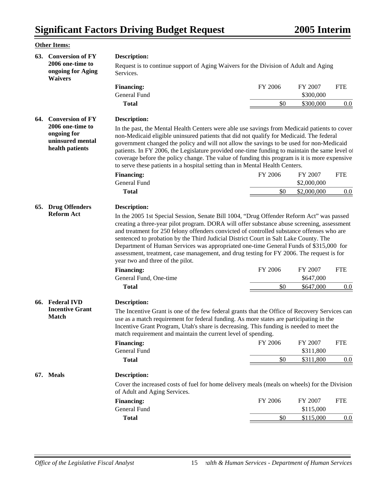|     | <b>Other Items:</b>                                                    |                                                                                                                                                                                                                                                                                                                                                                                                                                                                                                                                                                      |                |                                   |                   |
|-----|------------------------------------------------------------------------|----------------------------------------------------------------------------------------------------------------------------------------------------------------------------------------------------------------------------------------------------------------------------------------------------------------------------------------------------------------------------------------------------------------------------------------------------------------------------------------------------------------------------------------------------------------------|----------------|-----------------------------------|-------------------|
|     | 63. Conversion of FY<br>2006 one-time to                               | <b>Description:</b><br>Request is to continue support of Aging Waivers for the Division of Adult and Aging                                                                                                                                                                                                                                                                                                                                                                                                                                                           |                |                                   |                   |
|     | ongoing for Aging<br><b>Waivers</b>                                    | Services.                                                                                                                                                                                                                                                                                                                                                                                                                                                                                                                                                            |                |                                   |                   |
|     |                                                                        | <b>Financing:</b><br><b>General Fund</b>                                                                                                                                                                                                                                                                                                                                                                                                                                                                                                                             | FY 2006        | FY 2007<br>\$300,000              | <b>FTE</b>        |
|     |                                                                        | <b>Total</b>                                                                                                                                                                                                                                                                                                                                                                                                                                                                                                                                                         | \$0            | \$300,000                         | 0.0               |
| 64. | <b>Conversion of FY</b>                                                | <b>Description:</b>                                                                                                                                                                                                                                                                                                                                                                                                                                                                                                                                                  |                |                                   |                   |
|     | 2006 one-time to<br>ongoing for<br>uninsured mental<br>health patients | In the past, the Mental Health Centers were able use savings from Medicaid patients to cover<br>non-Medicaid eligible uninsured patients that did not qualify for Medicaid. The federal<br>government changed the policy and will not allow the savings to be used for non-Medicaid<br>patients. In FY 2006, the Legislature provided one-time funding to maintain the same level of<br>coverage before the policy change. The value of funding this program is it is more expensive<br>to serve these patients in a hospital setting than in Mental Health Centers. |                |                                   |                   |
|     |                                                                        | <b>Financing:</b>                                                                                                                                                                                                                                                                                                                                                                                                                                                                                                                                                    | FY 2006        | FY 2007                           | <b>FTE</b>        |
|     |                                                                        | <b>General Fund</b>                                                                                                                                                                                                                                                                                                                                                                                                                                                                                                                                                  |                | \$2,000,000                       |                   |
|     |                                                                        | <b>Total</b>                                                                                                                                                                                                                                                                                                                                                                                                                                                                                                                                                         | \$0            | \$2,000,000                       | 0.0               |
|     |                                                                        | creating a three-year pilot program. DORA will offer substance abuse screening, assessment<br>and treatment for 250 felony offenders convicted of controlled substance offenses who are<br>sentenced to probation by the Third Judicial District Court in Salt Lake County. The<br>Department of Human Services was appropriated one-time General Funds of \$315,000 for<br>assessment, treatment, case management, and drug testing for FY 2006. The request is for<br>year two and three of the pilot.<br><b>Financing:</b><br>General Fund, One-time              | FY 2006        | FY 2007<br>\$647,000              | <b>FTE</b>        |
|     |                                                                        | <b>Total</b>                                                                                                                                                                                                                                                                                                                                                                                                                                                                                                                                                         | \$0            | \$647,000                         | 0.0               |
|     | 66. Federal IVD<br><b>Incentive Grant</b><br><b>Match</b>              | <b>Description:</b><br>The Incentive Grant is one of the few federal grants that the Office of Recovery Services can<br>use as a match requirement for federal funding. As more states are participating in the<br>Incentive Grant Program, Utah's share is decreasing. This funding is needed to meet the<br>match requirement and maintain the current level of spending.<br><b>Financing:</b><br>General Fund<br><b>Total</b>                                                                                                                                     | FY 2006<br>\$0 | FY 2007<br>\$311,800<br>\$311,800 | <b>FTE</b><br>0.0 |
|     |                                                                        |                                                                                                                                                                                                                                                                                                                                                                                                                                                                                                                                                                      |                |                                   |                   |
|     | 67. Meals                                                              | <b>Description:</b><br>Cover the increased costs of fuel for home delivery meals (meals on wheels) for the Division<br>of Adult and Aging Services.<br><b>Financing:</b>                                                                                                                                                                                                                                                                                                                                                                                             | FY 2006        | FY 2007                           | <b>FTE</b>        |
|     |                                                                        | General Fund                                                                                                                                                                                                                                                                                                                                                                                                                                                                                                                                                         |                | \$115,000                         |                   |
|     |                                                                        | <b>Total</b>                                                                                                                                                                                                                                                                                                                                                                                                                                                                                                                                                         | \$0            | \$115,000                         | 0.0               |
|     |                                                                        |                                                                                                                                                                                                                                                                                                                                                                                                                                                                                                                                                                      |                |                                   |                   |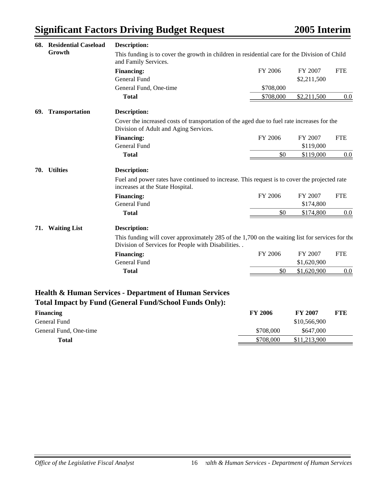| 68. Residential Caseload   | <b>Description:</b>                                                                                                                                       |                |                |            |
|----------------------------|-----------------------------------------------------------------------------------------------------------------------------------------------------------|----------------|----------------|------------|
| Growth                     | This funding is to cover the growth in children in residential care for the Division of Child<br>and Family Services.                                     |                |                |            |
|                            | <b>Financing:</b>                                                                                                                                         | FY 2006        | FY 2007        | <b>FTE</b> |
|                            | General Fund                                                                                                                                              |                | \$2,211,500    |            |
|                            | General Fund, One-time                                                                                                                                    | \$708,000      |                |            |
|                            | <b>Total</b>                                                                                                                                              | \$708,000      | \$2,211,500    | 0.0        |
| Transportation<br>69.      | <b>Description:</b>                                                                                                                                       |                |                |            |
|                            | Cover the increased costs of transportation of the aged due to fuel rate increases for the<br>Division of Adult and Aging Services.                       |                |                |            |
|                            | <b>Financing:</b>                                                                                                                                         | FY 2006        | FY 2007        | <b>FTE</b> |
|                            | <b>General Fund</b>                                                                                                                                       |                | \$119,000      |            |
|                            | <b>Total</b>                                                                                                                                              | \$0            | \$119,000      | 0.0        |
| 70. Utilties               | <b>Description:</b>                                                                                                                                       |                |                |            |
|                            | Fuel and power rates have continued to increase. This request is to cover the projected rate<br>increases at the State Hospital.                          |                |                |            |
|                            | <b>Financing:</b>                                                                                                                                         | FY 2006        | FY 2007        | <b>FTE</b> |
|                            | General Fund                                                                                                                                              |                | \$174,800      |            |
|                            | <b>Total</b>                                                                                                                                              | \$0            | \$174,800      | 0.0        |
| <b>Waiting List</b><br>71. | <b>Description:</b>                                                                                                                                       |                |                |            |
|                            | This funding will cover approximately 285 of the $1,700$ on the waiting list for services for the<br>Division of Services for People with Disabilities. . |                |                |            |
|                            | <b>Financing:</b>                                                                                                                                         | FY 2006        | FY 2007        | <b>FTE</b> |
|                            | General Fund                                                                                                                                              |                | \$1,620,900    |            |
|                            | <b>Total</b>                                                                                                                                              | \$0            | \$1,620,900    | 0.0        |
|                            | Health & Human Services - Department of Human Services<br><b>Total Impact by Fund (General Fund/School Funds Only):</b>                                   |                |                |            |
| <b>Financing</b>           |                                                                                                                                                           | <b>FY 2006</b> | <b>FY 2007</b> | <b>FTE</b> |
| <b>General Fund</b>        |                                                                                                                                                           |                | \$10,566,900   |            |

General Fund, One-time  $$708,000$  \$647,000

**Total** \$708,000 \$11,213,900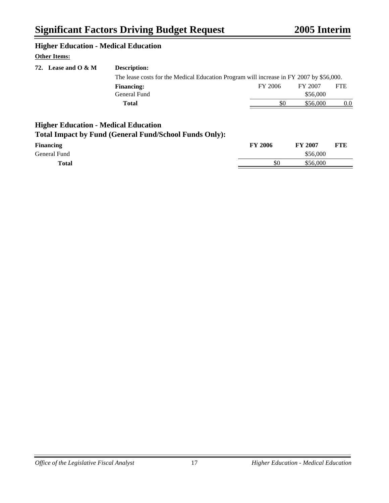#### **Higher Education - Medical Education**

#### **Other Items:**

| 72. Lease and $O & M$ | <b>Description:</b>                                                                     |         |          |            |
|-----------------------|-----------------------------------------------------------------------------------------|---------|----------|------------|
|                       | The lease costs for the Medical Education Program will increase in FY 2007 by \$56,000. |         |          |            |
|                       | <b>Financing:</b>                                                                       | FY 2006 | FY 2007  | <b>FTE</b> |
|                       | General Fund                                                                            |         | \$56,000 |            |
|                       | Total                                                                                   | \$0     | \$56,000 | 0.0        |
|                       |                                                                                         |         |          |            |

## **Higher Education - Medical Education**

## **Total Impact by Fund (General Fund/School Funds Only):**

| <b>Financing</b> | <b>FY 2006</b> | <b>FY 2007</b> | <b>FTE</b> |
|------------------|----------------|----------------|------------|
| General Fund     |                | \$56,000       |            |
| <b>Total</b>     | \$0            | \$56,000       |            |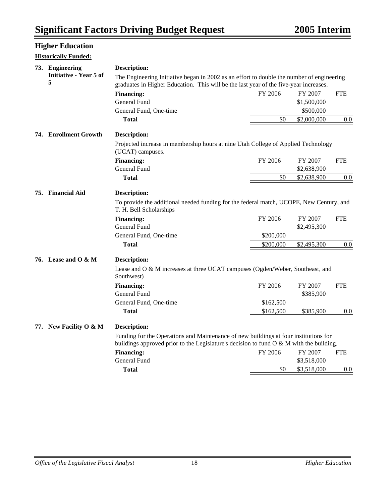## **Higher Education**

#### **Historically Funded:**

| 73. Engineering                   | <b>Description:</b>                                                                                                |           |             |            |
|-----------------------------------|--------------------------------------------------------------------------------------------------------------------|-----------|-------------|------------|
| <b>Initiative - Year 5 of</b>     | The Engineering Initiative began in 2002 as an effort to double the number of engineering                          |           |             |            |
| 5                                 | graduates in Higher Education. This will be the last year of the five-year increases.                              |           |             |            |
|                                   | <b>Financing:</b>                                                                                                  | FY 2006   | FY 2007     | <b>FTE</b> |
|                                   | General Fund                                                                                                       |           | \$1,500,000 |            |
|                                   | General Fund, One-time                                                                                             |           | \$500,000   |            |
|                                   | <b>Total</b>                                                                                                       | \$0       | \$2,000,000 | 0.0        |
| 74. Enrollment Growth             | <b>Description:</b>                                                                                                |           |             |            |
|                                   | Projected increase in membership hours at nine Utah College of Applied Technology<br>(UCAT) campuses.              |           |             |            |
|                                   | <b>Financing:</b>                                                                                                  | FY 2006   | FY 2007     | <b>FTE</b> |
|                                   | General Fund                                                                                                       |           | \$2,638,900 |            |
|                                   | <b>Total</b>                                                                                                       | \$0       | \$2,638,900 | 0.0        |
| 75. Financial Aid                 | <b>Description:</b>                                                                                                |           |             |            |
|                                   | To provide the additional needed funding for the federal match, UCOPE, New Century, and<br>T. H. Bell Scholarships |           |             |            |
|                                   | <b>Financing:</b>                                                                                                  | FY 2006   | FY 2007     | <b>FTE</b> |
|                                   | General Fund                                                                                                       |           | \$2,495,300 |            |
|                                   | General Fund, One-time                                                                                             | \$200,000 |             |            |
|                                   | <b>Total</b>                                                                                                       | \$200,000 | \$2,495,300 | 0.0        |
| 76. Lease and $\overline{O} \& M$ | <b>Description:</b>                                                                                                |           |             |            |
|                                   | Lease and O & M increases at three UCAT campuses (Ogden/Weber, Southeast, and<br>Southwest)                        |           |             |            |
|                                   | <b>Financing:</b>                                                                                                  | FY 2006   | FY 2007     | <b>FTE</b> |
|                                   | General Fund                                                                                                       |           | \$385,900   |            |
|                                   | General Fund, One-time                                                                                             | \$162,500 |             |            |
|                                   | <b>Total</b>                                                                                                       | \$162,500 | \$385,900   | $0.0\,$    |
| 77. New Facility O & M            | <b>Description:</b>                                                                                                |           |             |            |
|                                   | Funding for the Operations and Maintenance of new buildings at four institutions for                               |           |             |            |
|                                   | buildings approved prior to the Legislature's decision to fund $O & M$ with the building.                          |           |             |            |
|                                   | <b>Financing:</b>                                                                                                  | FY 2006   | FY 2007     | <b>FTE</b> |
|                                   | General Fund                                                                                                       |           | \$3,518,000 |            |
|                                   | <b>Total</b>                                                                                                       | \$0       | \$3,518,000 | 0.0        |
|                                   |                                                                                                                    |           |             |            |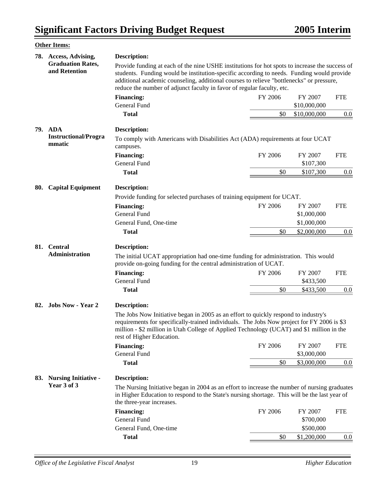|     | <b>Other Items:</b>                       |                                                                                                                                                                                                                                                                                                             |         |                      |            |
|-----|-------------------------------------------|-------------------------------------------------------------------------------------------------------------------------------------------------------------------------------------------------------------------------------------------------------------------------------------------------------------|---------|----------------------|------------|
|     | 78. Access, Advising,                     | <b>Description:</b>                                                                                                                                                                                                                                                                                         |         |                      |            |
|     | <b>Graduation Rates,</b><br>and Retention | Provide funding at each of the nine USHE institutions for hot spots to increase the success of<br>students. Funding would be institution-specific according to needs. Funding would provide<br>additional academic counseling, additional courses to relieve "bottlenecks" or pressure,                     |         |                      |            |
|     |                                           | reduce the number of adjunct faculty in favor of regular faculty, etc.                                                                                                                                                                                                                                      |         |                      |            |
|     |                                           | <b>Financing:</b>                                                                                                                                                                                                                                                                                           | FY 2006 | FY 2007              | <b>FTE</b> |
|     |                                           | General Fund                                                                                                                                                                                                                                                                                                |         | \$10,000,000         |            |
|     |                                           | <b>Total</b>                                                                                                                                                                                                                                                                                                | \$0     | \$10,000,000         | $0.0\,$    |
|     | 79. ADA                                   | <b>Description:</b>                                                                                                                                                                                                                                                                                         |         |                      |            |
|     | <b>Instructional/Progra</b><br>mmatic     | To comply with Americans with Disabilities Act (ADA) requirements at four UCAT<br>campuses.                                                                                                                                                                                                                 |         |                      |            |
|     |                                           | <b>Financing:</b>                                                                                                                                                                                                                                                                                           | FY 2006 | FY 2007              | <b>FTE</b> |
|     |                                           | General Fund                                                                                                                                                                                                                                                                                                |         | \$107,300            |            |
|     |                                           | <b>Total</b>                                                                                                                                                                                                                                                                                                | \$0     | \$107,300            | $0.0\,$    |
| 80. | <b>Capital Equipment</b>                  | <b>Description:</b>                                                                                                                                                                                                                                                                                         |         |                      |            |
|     |                                           | Provide funding for selected purchases of training equipment for UCAT.                                                                                                                                                                                                                                      |         |                      |            |
|     |                                           | <b>Financing:</b>                                                                                                                                                                                                                                                                                           | FY 2006 | FY 2007              | <b>FTE</b> |
|     |                                           | General Fund                                                                                                                                                                                                                                                                                                |         | \$1,000,000          |            |
|     |                                           | General Fund, One-time                                                                                                                                                                                                                                                                                      |         | \$1,000,000          |            |
|     |                                           | <b>Total</b>                                                                                                                                                                                                                                                                                                | \$0     | \$2,000,000          | $0.0\,$    |
|     | 81. Central<br><b>Administration</b>      | <b>Description:</b>                                                                                                                                                                                                                                                                                         |         |                      |            |
|     |                                           | The initial UCAT appropriation had one-time funding for administration. This would<br>provide on-going funding for the central administration of UCAT.                                                                                                                                                      |         |                      |            |
|     |                                           | <b>Financing:</b>                                                                                                                                                                                                                                                                                           | FY 2006 | FY 2007              | <b>FTE</b> |
|     |                                           | General Fund                                                                                                                                                                                                                                                                                                |         | \$433,500            |            |
|     |                                           | <b>Total</b>                                                                                                                                                                                                                                                                                                | \$0     | \$433,500            | 0.0        |
|     | 82. Jobs Now - Year 2                     | Description:                                                                                                                                                                                                                                                                                                |         |                      |            |
|     |                                           | The Jobs Now Initiative began in 2005 as an effort to quickly respond to industry's<br>requirements for specifically-trained individuals. The Jobs Now project for FY 2006 is \$3<br>million - \$2 million in Utah College of Applied Technology (UCAT) and \$1 million in the<br>rest of Higher Education. |         |                      |            |
|     |                                           | <b>Financing:</b>                                                                                                                                                                                                                                                                                           | FY 2006 | FY 2007              | <b>FTE</b> |
|     |                                           | General Fund                                                                                                                                                                                                                                                                                                |         | \$3,000,000          |            |
|     |                                           | <b>Total</b>                                                                                                                                                                                                                                                                                                | \$0     | \$3,000,000          | 0.0        |
| 83. | <b>Nursing Initiative -</b>               | <b>Description:</b>                                                                                                                                                                                                                                                                                         |         |                      |            |
|     | Year 3 of 3                               | The Nursing Initiative began in 2004 as an effort to increase the number of nursing graduates<br>in Higher Education to respond to the State's nursing shortage. This will be the last year of<br>the three-year increases.                                                                                 |         |                      |            |
|     |                                           | <b>Financing:</b><br>General Fund                                                                                                                                                                                                                                                                           | FY 2006 | FY 2007<br>\$700,000 | <b>FTE</b> |
|     |                                           | General Fund, One-time                                                                                                                                                                                                                                                                                      |         | \$500,000            |            |
|     |                                           | <b>Total</b>                                                                                                                                                                                                                                                                                                | \$0     | \$1,200,000          | 0.0        |
|     |                                           |                                                                                                                                                                                                                                                                                                             |         |                      |            |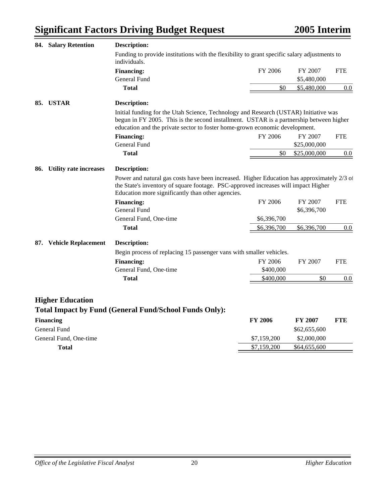|     | 84. Salary Retention          | <b>Description:</b>                                                                                                                                                                                                                                            |                |                        |            |  |
|-----|-------------------------------|----------------------------------------------------------------------------------------------------------------------------------------------------------------------------------------------------------------------------------------------------------------|----------------|------------------------|------------|--|
|     |                               | Funding to provide institutions with the flexibility to grant specific salary adjustments to<br>individuals.                                                                                                                                                   |                |                        |            |  |
|     |                               | <b>Financing:</b><br>General Fund                                                                                                                                                                                                                              | FY 2006        | FY 2007<br>\$5,480,000 | <b>FTE</b> |  |
|     |                               | <b>Total</b>                                                                                                                                                                                                                                                   | \$0            | \$5,480,000            | 0.0        |  |
| 85. | <b>USTAR</b>                  | <b>Description:</b>                                                                                                                                                                                                                                            |                |                        |            |  |
|     |                               | Initial funding for the Utah Science, Technology and Research (USTAR) Initiative was<br>begun in FY 2005. This is the second installment. USTAR is a partnership between higher<br>education and the private sector to foster home-grown economic development. |                |                        |            |  |
|     |                               | <b>Financing:</b>                                                                                                                                                                                                                                              | FY 2006        | FY 2007                | <b>FTE</b> |  |
|     |                               | General Fund                                                                                                                                                                                                                                                   |                | \$25,000,000           |            |  |
|     |                               | <b>Total</b>                                                                                                                                                                                                                                                   | \$0            | \$25,000,000           | 0.0        |  |
| 86. | <b>Utility rate increases</b> | <b>Description:</b>                                                                                                                                                                                                                                            |                |                        |            |  |
|     |                               | Power and natural gas costs have been increased. Higher Education has approximately 2/3 of<br>the State's inventory of square footage. PSC-approved increases will impact Higher<br>Education more significantly than other agencies.                          |                |                        |            |  |
|     |                               | <b>Financing:</b>                                                                                                                                                                                                                                              | FY 2006        | FY 2007                | <b>FTE</b> |  |
|     |                               | <b>General Fund</b>                                                                                                                                                                                                                                            |                | \$6,396,700            |            |  |
|     |                               | General Fund, One-time                                                                                                                                                                                                                                         | \$6,396,700    |                        |            |  |
|     |                               | <b>Total</b>                                                                                                                                                                                                                                                   | \$6,396,700    | \$6,396,700            | 0.0        |  |
|     | 87. Vehicle Replacement       | <b>Description:</b>                                                                                                                                                                                                                                            |                |                        |            |  |
|     |                               | Begin process of replacing 15 passenger vans with smaller vehicles.                                                                                                                                                                                            |                |                        |            |  |
|     |                               | <b>Financing:</b>                                                                                                                                                                                                                                              | FY 2006        | FY 2007                | <b>FTE</b> |  |
|     |                               | General Fund, One-time                                                                                                                                                                                                                                         | \$400,000      |                        |            |  |
|     |                               | Total                                                                                                                                                                                                                                                          | \$400,000      | \$0                    | 0.0        |  |
|     |                               |                                                                                                                                                                                                                                                                |                |                        |            |  |
|     | <b>Higher Education</b>       | <b>Total Impact by Fund (General Fund/School Funds Only):</b>                                                                                                                                                                                                  |                |                        |            |  |
|     | <b>Financing</b>              |                                                                                                                                                                                                                                                                | <b>FY 2006</b> | <b>FY 2007</b>         | <b>FTE</b> |  |
|     | General Fund                  |                                                                                                                                                                                                                                                                |                | \$62,655,600           |            |  |
|     | General Fund, One-time        |                                                                                                                                                                                                                                                                | \$7,159,200    | \$2,000,000            |            |  |
|     | <b>Total</b>                  |                                                                                                                                                                                                                                                                | \$7,159,200    | \$64,655,600           |            |  |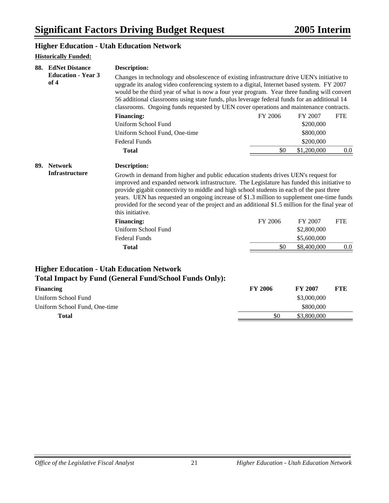#### **Higher Education - Utah Education Network**

| 88. | <b>EdNet Distance</b><br><b>Education - Year 3</b><br>of 4 | <b>Description:</b>                                                                                                                                                                                                                                                                                                                                                                                                                                                                                                                                                                               |         |                                       |            |
|-----|------------------------------------------------------------|---------------------------------------------------------------------------------------------------------------------------------------------------------------------------------------------------------------------------------------------------------------------------------------------------------------------------------------------------------------------------------------------------------------------------------------------------------------------------------------------------------------------------------------------------------------------------------------------------|---------|---------------------------------------|------------|
|     |                                                            | Changes in technology and obsolescence of existing infrastructure drive UEN's initiative to<br>upgrade its analog video conferencing system to a digital, Internet based system. FY 2007<br>would be the third year of what is now a four year program. Year three funding will convert<br>56 additional classrooms using state funds, plus leverage federal funds for an additional 14<br>classrooms. Ongoing funds requested by UEN cover operations and maintenance contracts.                                                                                                                 |         |                                       |            |
|     |                                                            | <b>Financing:</b>                                                                                                                                                                                                                                                                                                                                                                                                                                                                                                                                                                                 | FY 2006 | FY 2007                               | <b>FTE</b> |
|     |                                                            | Uniform School Fund                                                                                                                                                                                                                                                                                                                                                                                                                                                                                                                                                                               |         | \$200,000                             |            |
|     |                                                            | Uniform School Fund, One-time                                                                                                                                                                                                                                                                                                                                                                                                                                                                                                                                                                     |         | \$800,000                             |            |
|     |                                                            | <b>Federal Funds</b>                                                                                                                                                                                                                                                                                                                                                                                                                                                                                                                                                                              |         | \$200,000                             |            |
|     |                                                            | <b>Total</b>                                                                                                                                                                                                                                                                                                                                                                                                                                                                                                                                                                                      | \$0     | \$1,200,000                           | $0.0\,$    |
|     | 89. Network<br><b>Infrastructure</b>                       | <b>Description:</b><br>Growth in demand from higher and public education students drives UEN's request for<br>improved and expanded network infrastructure. The Legislature has funded this initiative to<br>provide gigabit connectivity to middle and high school students in each of the past three<br>years. UEN has requested an ongoing increase of \$1.3 million to supplement one-time funds<br>provided for the second year of the project and an additional \$1.5 million for the final year of<br>this initiative.<br><b>Financing:</b><br>Uniform School Fund<br><b>Federal Funds</b> | FY 2006 | FY 2007<br>\$2,800,000<br>\$5,600,000 | <b>FTE</b> |
|     |                                                            | <b>Total</b>                                                                                                                                                                                                                                                                                                                                                                                                                                                                                                                                                                                      | \$0     | \$8,400,000                           | $0.0\,$    |
|     |                                                            |                                                                                                                                                                                                                                                                                                                                                                                                                                                                                                                                                                                                   |         |                                       |            |

## **Higher Education - Utah Education Network Total Impact by Fund (General Fund/School Funds Only):**

| <b>Financing</b>              | <b>FY 2006</b> | <b>FY 2007</b> | <b>FTE</b> |
|-------------------------------|----------------|----------------|------------|
| Uniform School Fund           |                | \$3,000,000    |            |
| Uniform School Fund, One-time |                | \$800,000      |            |
| Total                         | \$0            | \$3,800,000    |            |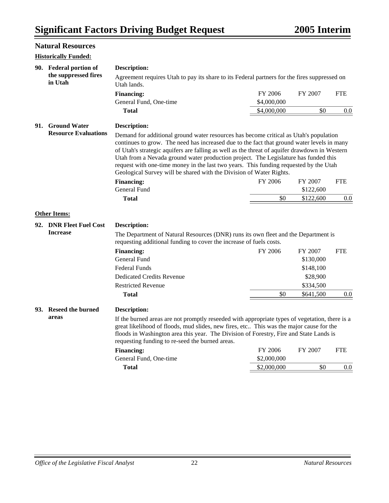|     | <b>Natural Resources</b>        |                                                                                                                                                                                                                                                                                                                                                                                                                                                                                                                                             |             |           |            |  |
|-----|---------------------------------|---------------------------------------------------------------------------------------------------------------------------------------------------------------------------------------------------------------------------------------------------------------------------------------------------------------------------------------------------------------------------------------------------------------------------------------------------------------------------------------------------------------------------------------------|-------------|-----------|------------|--|
|     | <b>Historically Funded:</b>     |                                                                                                                                                                                                                                                                                                                                                                                                                                                                                                                                             |             |           |            |  |
|     | 90. Federal portion of          | <b>Description:</b>                                                                                                                                                                                                                                                                                                                                                                                                                                                                                                                         |             |           |            |  |
|     | the suppressed fires<br>in Utah | Agreement requires Utah to pay its share to its Federal partners for the fires suppressed on<br>Utah lands.                                                                                                                                                                                                                                                                                                                                                                                                                                 |             |           |            |  |
|     |                                 | <b>Financing:</b>                                                                                                                                                                                                                                                                                                                                                                                                                                                                                                                           | FY 2006     | FY 2007   | <b>FTE</b> |  |
|     |                                 | General Fund, One-time                                                                                                                                                                                                                                                                                                                                                                                                                                                                                                                      | \$4,000,000 |           |            |  |
|     |                                 | <b>Total</b>                                                                                                                                                                                                                                                                                                                                                                                                                                                                                                                                | \$4,000,000 | \$0       | $0.0\,$    |  |
| 91. | <b>Ground Water</b>             | <b>Description:</b>                                                                                                                                                                                                                                                                                                                                                                                                                                                                                                                         |             |           |            |  |
|     | <b>Resource Evaluations</b>     | Demand for additional ground water resources has become critical as Utah's population<br>continues to grow. The need has increased due to the fact that ground water levels in many<br>of Utah's strategic aquifers are falling as well as the threat of aquifer drawdown in Western<br>Utah from a Nevada ground water production project. The Legislature has funded this<br>request with one-time money in the last two years. This funding requested by the Utah<br>Geological Survey will be shared with the Division of Water Rights. |             |           |            |  |
|     |                                 | <b>Financing:</b>                                                                                                                                                                                                                                                                                                                                                                                                                                                                                                                           | FY 2006     | FY 2007   | <b>FTE</b> |  |
|     |                                 | General Fund                                                                                                                                                                                                                                                                                                                                                                                                                                                                                                                                |             | \$122,600 |            |  |
|     |                                 | <b>Total</b>                                                                                                                                                                                                                                                                                                                                                                                                                                                                                                                                | \$0         | \$122,600 | $0.0\,$    |  |
|     | <b>Other Items:</b>             |                                                                                                                                                                                                                                                                                                                                                                                                                                                                                                                                             |             |           |            |  |
|     | 92. DNR Fleet Fuel Cost         | <b>Description:</b>                                                                                                                                                                                                                                                                                                                                                                                                                                                                                                                         |             |           |            |  |
|     | <b>Increase</b>                 | The Department of Natural Resources (DNR) runs its own fleet and the Department is<br>requesting additional funding to cover the increase of fuels costs.                                                                                                                                                                                                                                                                                                                                                                                   |             |           |            |  |
|     |                                 | <b>Financing:</b>                                                                                                                                                                                                                                                                                                                                                                                                                                                                                                                           | FY 2006     | FY 2007   | <b>FTE</b> |  |
|     |                                 | General Fund                                                                                                                                                                                                                                                                                                                                                                                                                                                                                                                                |             | \$130,000 |            |  |
|     |                                 | <b>Federal Funds</b>                                                                                                                                                                                                                                                                                                                                                                                                                                                                                                                        |             | \$148,100 |            |  |
|     |                                 | <b>Dedicated Credits Revenue</b>                                                                                                                                                                                                                                                                                                                                                                                                                                                                                                            |             | \$28,900  |            |  |
|     |                                 | <b>Restricted Revenue</b>                                                                                                                                                                                                                                                                                                                                                                                                                                                                                                                   |             | \$334,500 |            |  |
|     |                                 | <b>Total</b>                                                                                                                                                                                                                                                                                                                                                                                                                                                                                                                                | \$0         | \$641,500 | $0.0\,$    |  |
|     | 93. Reseed the burned           | Description:                                                                                                                                                                                                                                                                                                                                                                                                                                                                                                                                |             |           |            |  |
|     | areas                           | If the burned areas are not promptly reseeded with appropriate types of vegetation, there is a<br>great likelihood of floods, mud slides, new fires, etc This was the major cause for the<br>floods in Washington area this year. The Division of Forestry, Fire and State Lands is<br>requesting funding to re-seed the burned areas.                                                                                                                                                                                                      |             |           |            |  |
|     |                                 | <b>Financing:</b>                                                                                                                                                                                                                                                                                                                                                                                                                                                                                                                           | FY 2006     | FY 2007   | <b>FTE</b> |  |
|     |                                 | General Fund, One-time                                                                                                                                                                                                                                                                                                                                                                                                                                                                                                                      | \$2,000,000 |           |            |  |
|     |                                 | <b>Total</b>                                                                                                                                                                                                                                                                                                                                                                                                                                                                                                                                | \$2,000,000 | \$0       | 0.0        |  |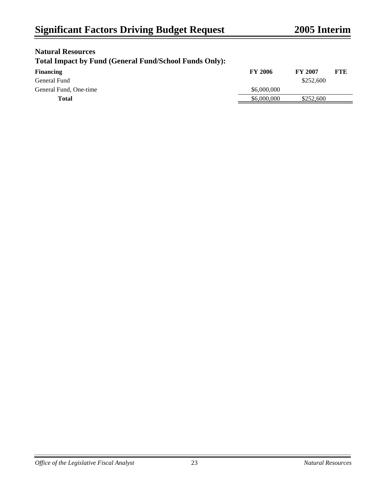## **Natural Resources**

## **Total Impact by Fund (General Fund/School Funds Only):**

| <b>Financing</b>       | <b>FY 2006</b> | <b>FY 2007</b> | FTE |
|------------------------|----------------|----------------|-----|
| General Fund           |                | \$252,600      |     |
| General Fund, One-time | \$6,000,000    |                |     |
| Total                  | \$6,000,000    | \$252,600      |     |
|                        |                |                |     |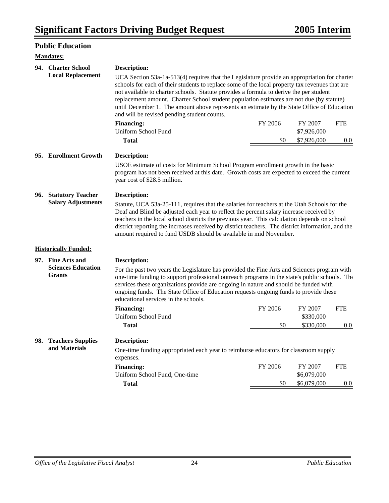## **Public Education**

#### **Mandates:**

| 94. Charter School                                                                                                                                                                                                                                                                                                                                                                                                                                                 | <b>Description:</b>                                                                                                                                                                                                                                                                                                                                                                                                                                                                                                               |                |                            |            |
|--------------------------------------------------------------------------------------------------------------------------------------------------------------------------------------------------------------------------------------------------------------------------------------------------------------------------------------------------------------------------------------------------------------------------------------------------------------------|-----------------------------------------------------------------------------------------------------------------------------------------------------------------------------------------------------------------------------------------------------------------------------------------------------------------------------------------------------------------------------------------------------------------------------------------------------------------------------------------------------------------------------------|----------------|----------------------------|------------|
| <b>Local Replacement</b>                                                                                                                                                                                                                                                                                                                                                                                                                                           | UCA Section 53a-1a-513(4) requires that the Legislature provide an appropriation for charter<br>schools for each of their students to replace some of the local property tax revenues that are<br>not available to charter schools. Statute provides a formula to derive the per student<br>replacement amount. Charter School student population estimates are not due (by statute)<br>until December 1. The amount above represents an estimate by the State Office of Education<br>and will be revised pending student counts. |                |                            |            |
|                                                                                                                                                                                                                                                                                                                                                                                                                                                                    | <b>Financing:</b>                                                                                                                                                                                                                                                                                                                                                                                                                                                                                                                 | FY 2006        | FY 2007                    | <b>FTE</b> |
|                                                                                                                                                                                                                                                                                                                                                                                                                                                                    | Uniform School Fund<br><b>Total</b>                                                                                                                                                                                                                                                                                                                                                                                                                                                                                               | \$0            | \$7,926,000<br>\$7,926,000 | 0.0        |
|                                                                                                                                                                                                                                                                                                                                                                                                                                                                    |                                                                                                                                                                                                                                                                                                                                                                                                                                                                                                                                   |                |                            |            |
| 95. Enrollment Growth                                                                                                                                                                                                                                                                                                                                                                                                                                              | Description:                                                                                                                                                                                                                                                                                                                                                                                                                                                                                                                      |                |                            |            |
|                                                                                                                                                                                                                                                                                                                                                                                                                                                                    | USOE estimate of costs for Minimum School Program enrollment growth in the basic<br>program has not been received at this date. Growth costs are expected to exceed the current<br>year cost of \$28.5 million.                                                                                                                                                                                                                                                                                                                   |                |                            |            |
| 96. Statutory Teacher                                                                                                                                                                                                                                                                                                                                                                                                                                              | <b>Description:</b>                                                                                                                                                                                                                                                                                                                                                                                                                                                                                                               |                |                            |            |
| <b>Salary Adjustments</b>                                                                                                                                                                                                                                                                                                                                                                                                                                          | Statute, UCA 53a-25-111, requires that the salaries for teachers at the Utah Schools for the<br>Deaf and Blind be adjusted each year to reflect the percent salary increase received by<br>teachers in the local school districts the previous year. This calculation depends on school<br>district reporting the increases received by district teachers. The district information, and the<br>amount required to fund USDB should be available in mid November.                                                                 |                |                            |            |
| <b>Historically Funded:</b>                                                                                                                                                                                                                                                                                                                                                                                                                                        |                                                                                                                                                                                                                                                                                                                                                                                                                                                                                                                                   |                |                            |            |
| 97. Fine Arts and                                                                                                                                                                                                                                                                                                                                                                                                                                                  | <b>Description:</b>                                                                                                                                                                                                                                                                                                                                                                                                                                                                                                               |                |                            |            |
| <b>Sciences Education</b><br>For the past two years the Legislature has provided the Fine Arts and Sciences program with<br><b>Grants</b><br>one-time funding to support professional outreach programs in the state's public schools. The<br>services these organizations provide are ongoing in nature and should be funded with<br>ongoing funds. The State Office of Education requests ongoing funds to provide these<br>educational services in the schools. |                                                                                                                                                                                                                                                                                                                                                                                                                                                                                                                                   |                |                            |            |
|                                                                                                                                                                                                                                                                                                                                                                                                                                                                    | <b>Financing:</b>                                                                                                                                                                                                                                                                                                                                                                                                                                                                                                                 | <b>FY 2006</b> | FY 2007                    | <b>FTE</b> |
|                                                                                                                                                                                                                                                                                                                                                                                                                                                                    | Uniform School Fund                                                                                                                                                                                                                                                                                                                                                                                                                                                                                                               |                | \$330,000                  |            |
|                                                                                                                                                                                                                                                                                                                                                                                                                                                                    | <b>Total</b>                                                                                                                                                                                                                                                                                                                                                                                                                                                                                                                      | \$0            | \$330,000                  | $0.0\,$    |
| 98. Teachers Supplies<br>and Materials                                                                                                                                                                                                                                                                                                                                                                                                                             | <b>Description:</b>                                                                                                                                                                                                                                                                                                                                                                                                                                                                                                               |                |                            |            |
|                                                                                                                                                                                                                                                                                                                                                                                                                                                                    | One-time funding appropriated each year to reimburse educators for classroom supply<br>expenses.                                                                                                                                                                                                                                                                                                                                                                                                                                  |                |                            |            |
|                                                                                                                                                                                                                                                                                                                                                                                                                                                                    | <b>Financing:</b>                                                                                                                                                                                                                                                                                                                                                                                                                                                                                                                 | FY 2006        | FY 2007                    | <b>FTE</b> |
|                                                                                                                                                                                                                                                                                                                                                                                                                                                                    | Uniform School Fund, One-time                                                                                                                                                                                                                                                                                                                                                                                                                                                                                                     |                | \$6,079,000                |            |
|                                                                                                                                                                                                                                                                                                                                                                                                                                                                    | <b>Total</b>                                                                                                                                                                                                                                                                                                                                                                                                                                                                                                                      | \$0            | \$6,079,000                | 0.0        |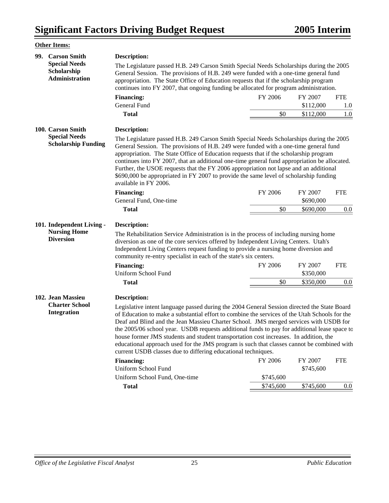|     | <b>Other Items:</b>                                                                                                                                                                                                                                                                                                                                                                                                                                                                                                                                                                                               |                                                                                                                                                                                                                                                                                                                                                                                                                                                                                                                                                                                                                                               |                |                                   |                   |  |
|-----|-------------------------------------------------------------------------------------------------------------------------------------------------------------------------------------------------------------------------------------------------------------------------------------------------------------------------------------------------------------------------------------------------------------------------------------------------------------------------------------------------------------------------------------------------------------------------------------------------------------------|-----------------------------------------------------------------------------------------------------------------------------------------------------------------------------------------------------------------------------------------------------------------------------------------------------------------------------------------------------------------------------------------------------------------------------------------------------------------------------------------------------------------------------------------------------------------------------------------------------------------------------------------------|----------------|-----------------------------------|-------------------|--|
| 99. | <b>Carson Smith</b>                                                                                                                                                                                                                                                                                                                                                                                                                                                                                                                                                                                               | <b>Description:</b>                                                                                                                                                                                                                                                                                                                                                                                                                                                                                                                                                                                                                           |                |                                   |                   |  |
|     | <b>Special Needs</b><br>Scholarship<br><b>Administration</b>                                                                                                                                                                                                                                                                                                                                                                                                                                                                                                                                                      | The Legislature passed H.B. 249 Carson Smith Special Needs Scholarships during the 2005<br>General Session. The provisions of H.B. 249 were funded with a one-time general fund<br>appropriation. The State Office of Education requests that if the scholarship program<br>continues into FY 2007, that ongoing funding be allocated for program administration.                                                                                                                                                                                                                                                                             |                |                                   |                   |  |
|     |                                                                                                                                                                                                                                                                                                                                                                                                                                                                                                                                                                                                                   | <b>Financing:</b>                                                                                                                                                                                                                                                                                                                                                                                                                                                                                                                                                                                                                             | FY 2006        | FY 2007                           | <b>FTE</b>        |  |
|     | General Fund                                                                                                                                                                                                                                                                                                                                                                                                                                                                                                                                                                                                      |                                                                                                                                                                                                                                                                                                                                                                                                                                                                                                                                                                                                                                               |                | \$112,000                         | 1.0               |  |
|     |                                                                                                                                                                                                                                                                                                                                                                                                                                                                                                                                                                                                                   | <b>Total</b>                                                                                                                                                                                                                                                                                                                                                                                                                                                                                                                                                                                                                                  | \$0            | \$112,000                         | 1.0               |  |
|     | 100. Carson Smith                                                                                                                                                                                                                                                                                                                                                                                                                                                                                                                                                                                                 | Description:                                                                                                                                                                                                                                                                                                                                                                                                                                                                                                                                                                                                                                  |                |                                   |                   |  |
|     | The Legislature passed H.B. 249 Carson Smith Special Needs Scholarships during the 2005<br><b>Scholarship Funding</b><br>General Session. The provisions of H.B. 249 were funded with a one-time general fund<br>appropriation. The State Office of Education requests that if the scholarship program<br>continues into FY 2007, that an additional one-time general fund appropriation be allocated.<br>Further, the USOE requests that the FY 2006 appropriation not lapse and an additional<br>\$690,000 be appropriated in FY 2007 to provide the same level of scholarship funding<br>available in FY 2006. |                                                                                                                                                                                                                                                                                                                                                                                                                                                                                                                                                                                                                                               |                |                                   |                   |  |
|     |                                                                                                                                                                                                                                                                                                                                                                                                                                                                                                                                                                                                                   | <b>Financing:</b>                                                                                                                                                                                                                                                                                                                                                                                                                                                                                                                                                                                                                             | FY 2006        | FY 2007                           | <b>FTE</b>        |  |
|     |                                                                                                                                                                                                                                                                                                                                                                                                                                                                                                                                                                                                                   | General Fund, One-time                                                                                                                                                                                                                                                                                                                                                                                                                                                                                                                                                                                                                        |                | \$690,000                         |                   |  |
|     |                                                                                                                                                                                                                                                                                                                                                                                                                                                                                                                                                                                                                   | <b>Total</b>                                                                                                                                                                                                                                                                                                                                                                                                                                                                                                                                                                                                                                  | \$0            | \$690,000                         | 0.0               |  |
|     | 101. Independent Living -<br><b>Nursing Home</b><br><b>Diversion</b>                                                                                                                                                                                                                                                                                                                                                                                                                                                                                                                                              | Description:<br>The Rehabilitation Service Administration is in the process of including nursing home<br>diversion as one of the core services offered by Independent Living Centers. Utah's<br>Independent Living Centers request funding to provide a nursing home diversion and<br>community re-entry specialist in each of the state's six centers.<br><b>Financing:</b><br>Uniform School Fund<br><b>Total</b>                                                                                                                                                                                                                           | FY 2006<br>\$0 | FY 2007<br>\$350,000<br>\$350,000 | <b>FTE</b><br>0.0 |  |
|     | 102. Jean Massieu                                                                                                                                                                                                                                                                                                                                                                                                                                                                                                                                                                                                 | <b>Description:</b>                                                                                                                                                                                                                                                                                                                                                                                                                                                                                                                                                                                                                           |                |                                   |                   |  |
|     | <b>Charter School</b><br><b>Integration</b>                                                                                                                                                                                                                                                                                                                                                                                                                                                                                                                                                                       | Legislative intent language passed during the 2004 General Session directed the State Board<br>of Education to make a substantial effort to combine the services of the Utah Schools for the<br>Deaf and Blind and the Jean Massieu Charter School. JMS merged services with USDB for<br>the 2005/06 school year. USDB requests additional funds to pay for additional lease space to<br>house former JMS students and student transportation cost increases. In addition, the<br>educational approach used for the JMS program is such that classes cannot be combined with<br>current USDB classes due to differing educational techniques. |                |                                   |                   |  |
|     |                                                                                                                                                                                                                                                                                                                                                                                                                                                                                                                                                                                                                   | <b>Financing:</b>                                                                                                                                                                                                                                                                                                                                                                                                                                                                                                                                                                                                                             | FY 2006        | FY 2007                           | <b>FTE</b>        |  |
|     |                                                                                                                                                                                                                                                                                                                                                                                                                                                                                                                                                                                                                   | Uniform School Fund                                                                                                                                                                                                                                                                                                                                                                                                                                                                                                                                                                                                                           |                | \$745,600                         |                   |  |
|     |                                                                                                                                                                                                                                                                                                                                                                                                                                                                                                                                                                                                                   | Uniform School Fund, One-time                                                                                                                                                                                                                                                                                                                                                                                                                                                                                                                                                                                                                 | \$745,600      |                                   |                   |  |
|     |                                                                                                                                                                                                                                                                                                                                                                                                                                                                                                                                                                                                                   | <b>Total</b>                                                                                                                                                                                                                                                                                                                                                                                                                                                                                                                                                                                                                                  | \$745,600      | \$745,600                         | 0.0               |  |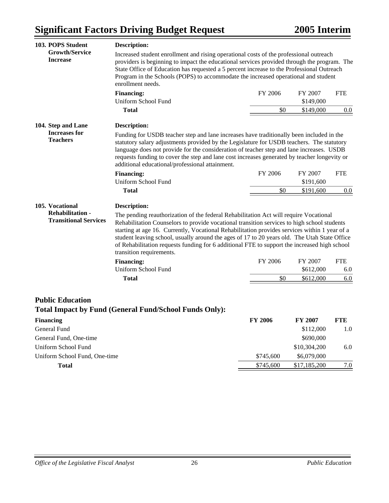| 103. POPS Student                                                          | <b>Description:</b>                                                                                                                                                                                                                                                                                                                                                                                                                                                                                                                                                                  |                |                      |                   |
|----------------------------------------------------------------------------|--------------------------------------------------------------------------------------------------------------------------------------------------------------------------------------------------------------------------------------------------------------------------------------------------------------------------------------------------------------------------------------------------------------------------------------------------------------------------------------------------------------------------------------------------------------------------------------|----------------|----------------------|-------------------|
| <b>Growth/Service</b><br><b>Increase</b>                                   | Increased student enrollment and rising operational costs of the professional outreach<br>providers is beginning to impact the educational services provided through the program. The<br>State Office of Education has requested a 5 percent increase to the Professional Outreach<br>Program in the Schools (POPS) to accommodate the increased operational and student<br>enrollment needs.                                                                                                                                                                                        |                |                      |                   |
|                                                                            | <b>Financing:</b>                                                                                                                                                                                                                                                                                                                                                                                                                                                                                                                                                                    | FY 2006        | FY 2007              | <b>FTE</b>        |
|                                                                            | Uniform School Fund                                                                                                                                                                                                                                                                                                                                                                                                                                                                                                                                                                  |                | \$149,000            |                   |
|                                                                            | <b>Total</b>                                                                                                                                                                                                                                                                                                                                                                                                                                                                                                                                                                         | \$0            | \$149,000            | 0.0               |
| 104. Step and Lane                                                         | <b>Description:</b>                                                                                                                                                                                                                                                                                                                                                                                                                                                                                                                                                                  |                |                      |                   |
| <b>Increases for</b><br><b>Teachers</b>                                    | Funding for USDB teacher step and lane increases have traditionally been included in the<br>statutory salary adjustments provided by the Legislature for USDB teachers. The statutory<br>language does not provide for the consideration of teacher step and lane increases. USDB<br>requests funding to cover the step and lane cost increases generated by teacher longevity or<br>additional educational/professional attainment.                                                                                                                                                 |                |                      |                   |
|                                                                            | <b>Financing:</b>                                                                                                                                                                                                                                                                                                                                                                                                                                                                                                                                                                    | FY 2006        | FY 2007              | <b>FTE</b>        |
|                                                                            | Uniform School Fund                                                                                                                                                                                                                                                                                                                                                                                                                                                                                                                                                                  |                | \$191,600            |                   |
|                                                                            | <b>Total</b>                                                                                                                                                                                                                                                                                                                                                                                                                                                                                                                                                                         | \$0            | \$191,600            | 0.0               |
| 105. Vocational<br><b>Rehabilitation -</b><br><b>Transitional Services</b> | <b>Description:</b><br>The pending reauthorization of the federal Rehabilitation Act will require Vocational<br>Rehabilitation Counselors to provide vocational transition services to high school students<br>starting at age 16. Currently, Vocational Rehabilitation provides services within 1 year of a<br>student leaving school, usually around the ages of 17 to 20 years old. The Utah State Office<br>of Rehabilitation requests funding for 6 additional FTE to support the increased high school<br>transition requirements.<br><b>Financing:</b><br>Uniform School Fund | FY 2006        | FY 2007<br>\$612,000 | <b>FTE</b><br>6.0 |
|                                                                            | <b>Total</b>                                                                                                                                                                                                                                                                                                                                                                                                                                                                                                                                                                         | \$0            | \$612,000            | 6.0               |
| <b>Public Education</b>                                                    | <b>Total Impact by Fund (General Fund/School Funds Only):</b>                                                                                                                                                                                                                                                                                                                                                                                                                                                                                                                        |                |                      |                   |
| <b>Financing</b>                                                           |                                                                                                                                                                                                                                                                                                                                                                                                                                                                                                                                                                                      | <b>FY 2006</b> | <b>FY 2007</b>       | <b>FTE</b>        |
| General Fund                                                               |                                                                                                                                                                                                                                                                                                                                                                                                                                                                                                                                                                                      |                | \$112,000            | 1.0               |
| General Fund, One-time                                                     |                                                                                                                                                                                                                                                                                                                                                                                                                                                                                                                                                                                      |                | \$690,000            |                   |
| Uniform School Fund                                                        |                                                                                                                                                                                                                                                                                                                                                                                                                                                                                                                                                                                      |                | \$10,304,200         | 6.0               |
| Uniform School Fund, One-time                                              |                                                                                                                                                                                                                                                                                                                                                                                                                                                                                                                                                                                      | \$745,600      | \$6,079,000          |                   |
| Total                                                                      |                                                                                                                                                                                                                                                                                                                                                                                                                                                                                                                                                                                      | \$745,600      | \$17,185,200         | 7.0               |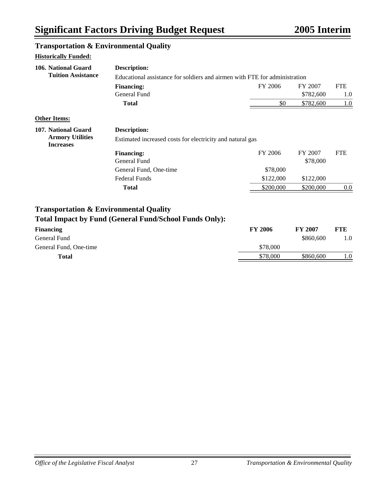## **Transportation & Environmental Quality**

| <b>Description:</b>                                           |                |                                                           |                                                                            |
|---------------------------------------------------------------|----------------|-----------------------------------------------------------|----------------------------------------------------------------------------|
|                                                               |                |                                                           |                                                                            |
| <b>Financing:</b>                                             | FY 2006        | FY 2007                                                   | <b>FTE</b>                                                                 |
| <b>General Fund</b>                                           |                | \$782,600                                                 | 1.0                                                                        |
| <b>Total</b>                                                  | \$0            | \$782,600                                                 | 1.0                                                                        |
|                                                               |                |                                                           |                                                                            |
| <b>Description:</b>                                           |                |                                                           |                                                                            |
|                                                               |                |                                                           |                                                                            |
| <b>Financing:</b>                                             | FY 2006        | FY 2007                                                   | <b>FTE</b>                                                                 |
| General Fund                                                  |                | \$78,000                                                  |                                                                            |
| General Fund, One-time                                        | \$78,000       |                                                           |                                                                            |
| <b>Federal Funds</b>                                          | \$122,000      | \$122,000                                                 |                                                                            |
| <b>Total</b>                                                  | \$200,000      | \$200,000                                                 | 0.0                                                                        |
| <b>Transportation &amp; Environmental Quality</b>             |                |                                                           |                                                                            |
| <b>Total Impact by Fund (General Fund/School Funds Only):</b> |                |                                                           |                                                                            |
|                                                               | <b>FY 2006</b> | <b>FY 2007</b>                                            | <b>FTE</b>                                                                 |
|                                                               |                | \$860,600                                                 | 1.0                                                                        |
|                                                               | \$78,000       |                                                           |                                                                            |
|                                                               | \$78,000       | \$860,600                                                 | 1.0                                                                        |
|                                                               |                | Estimated increased costs for electricity and natural gas | Educational assistance for soldiers and airmen with FTE for administration |